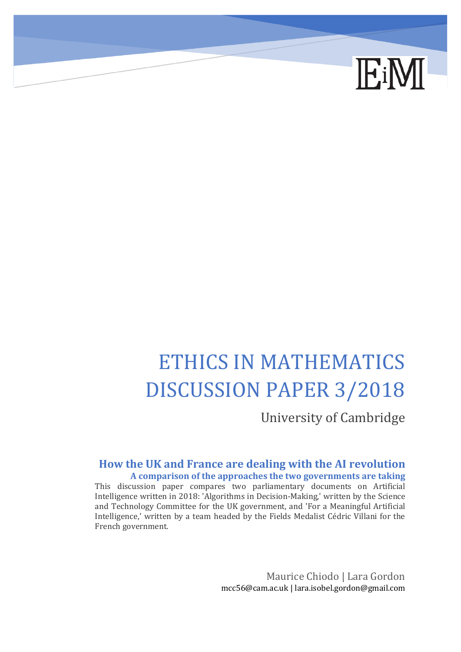

# ETHICS IN MATHEMATICS DISCUSSION PAPER 3/2018

University of Cambridge

# **How the UK and France are dealing with the AI revolution A comparison of the approaches the two governments are taking**

This discussion paper compares two parliamentary documents on Artificial Intelligence written in 2018: 'Algorithms in Decision-Making,' written by the Science and Technology Committee for the UK government, and 'For a Meaningful Artificial Intelligence,' written by a team headed by the Fields Medalist Cédric Villani for the French government.

> Maurice Chiodo | Lara Gordon mcc56@cam.ac.uk | lara.isobel.gordon@gmail.com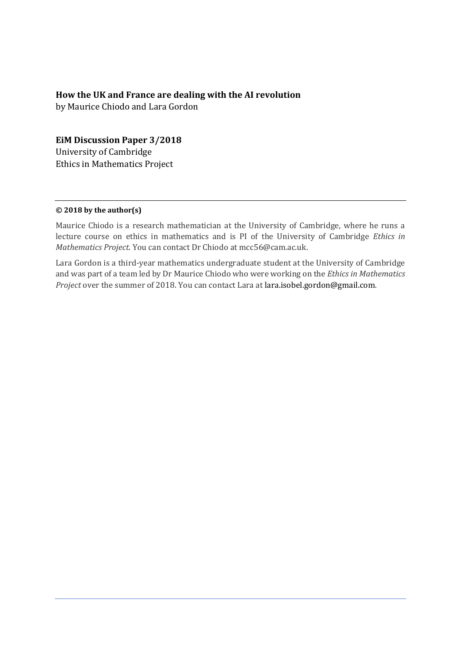#### **How the UK and France are dealing with the AI revolution**

by Maurice Chiodo and Lara Gordon

### **EiM Discussion Paper 3/2018**

University of Cambridge Ethics in Mathematics Project

#### **© 2018 by the author(s)**

Maurice Chiodo is a research mathematician at the University of Cambridge, where he runs a lecture course on ethics in mathematics and is PI of the University of Cambridge *Ethics in Mathematics Project*. You can contact Dr Chiodo at mcc56@cam.ac.uk.

Lara Gordon is a third-year mathematics undergraduate student at the University of Cambridge and was part of a team led by Dr Maurice Chiodo who were working on the *Ethics in Mathematics Project* over the summer of 2018. You can contact Lara at lara.isobel.gordon@gmail.com.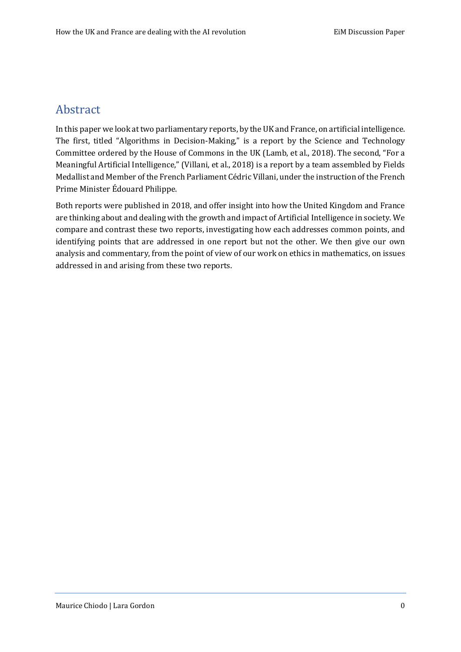# Abstract

In this paper we look at two parliamentary reports, by the UK and France, on artificial intelligence. The first, titled "Algorithms in Decision-Making," is a report by the Science and Technology Committee ordered by the House of Commons in the UK (Lamb, et al., 2018). The second, "For a Meaningful Artificial Intelligence," (Villani, et al., 2018) is a report by a team assembled by Fields Medallist and Member of the French Parliament Cédric Villani, under the instruction of the French Prime Minister Édouard Philippe.

Both reports were published in 2018, and offer insight into how the United Kingdom and France are thinking about and dealing with the growth and impact of Artificial Intelligence in society. We compare and contrast these two reports, investigating how each addresses common points, and identifying points that are addressed in one report but not the other. We then give our own analysis and commentary, from the point of view of our work on ethics in mathematics, on issues addressed in and arising from these two reports.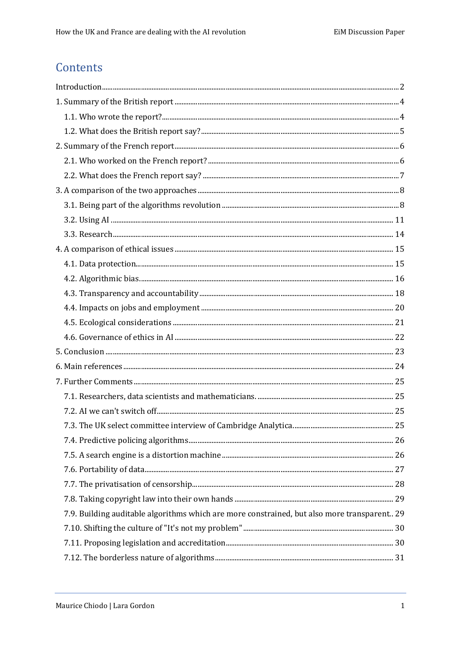# Contents

| Introduction 2                                                                              |  |
|---------------------------------------------------------------------------------------------|--|
|                                                                                             |  |
|                                                                                             |  |
|                                                                                             |  |
|                                                                                             |  |
|                                                                                             |  |
|                                                                                             |  |
|                                                                                             |  |
|                                                                                             |  |
|                                                                                             |  |
|                                                                                             |  |
|                                                                                             |  |
|                                                                                             |  |
|                                                                                             |  |
|                                                                                             |  |
|                                                                                             |  |
|                                                                                             |  |
|                                                                                             |  |
|                                                                                             |  |
|                                                                                             |  |
|                                                                                             |  |
|                                                                                             |  |
|                                                                                             |  |
|                                                                                             |  |
|                                                                                             |  |
|                                                                                             |  |
|                                                                                             |  |
|                                                                                             |  |
|                                                                                             |  |
| 7.9. Building auditable algorithms which are more constrained, but also more transparent 29 |  |
|                                                                                             |  |
|                                                                                             |  |
|                                                                                             |  |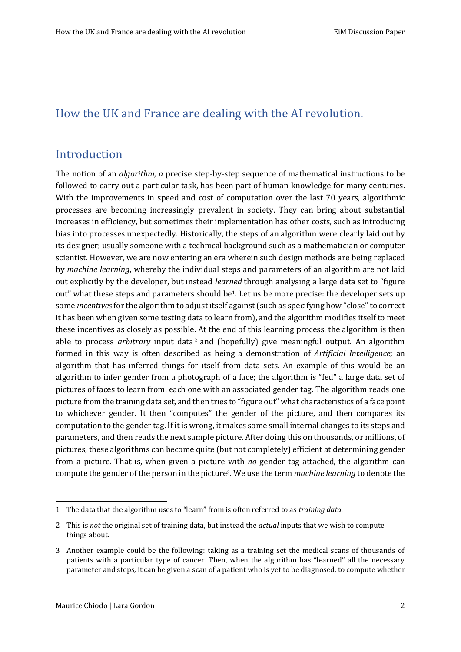# How the UK and France are dealing with the AI revolution.

# <span id="page-4-0"></span>Introduction

The notion of an *algorithm, a* precise step-by-step sequence of mathematical instructions to be followed to carry out a particular task, has been part of human knowledge for many centuries. With the improvements in speed and cost of computation over the last 70 years, algorithmic processes are becoming increasingly prevalent in society. They can bring about substantial increases in efficiency, but sometimes their implementation has other costs, such as introducing bias into processes unexpectedly. Historically, the steps of an algorithm were clearly laid out by its designer; usually someone with a technical background such as a mathematician or computer scientist. However, we are now entering an era wherein such design methods are being replaced by *machine learning*, whereby the individual steps and parameters of an algorithm are not laid out explicitly by the developer, but instead *learned* through analysing a large data set to "figure out" what these steps and parameters should be<sup>1</sup>. Let us be more precise: the developer sets up some *incentives*for the algorithm to adjust itself against (such as specifying how "close" to correct it has been when given some testing data to learn from), and the algorithm modifies itself to meet these incentives as closely as possible. At the end of this learning process, the algorithm is then able to process *arbitrary* input data<sup>2</sup> and (hopefully) give meaningful output. An algorithm formed in this way is often described as being a demonstration of *Artificial Intelligence;* an algorithm that has inferred things for itself from data sets. An example of this would be an algorithm to infer gender from a photograph of a face; the algorithm is "fed" a large data set of pictures of faces to learn from, each one with an associated gender tag. The algorithm reads one picture from the training data set, and then tries to "figure out" what characteristics of a face point to whichever gender. It then "computes" the gender of the picture, and then compares its computation to the gender tag. If it is wrong, it makes some small internal changes to its steps and parameters, and then reads the next sample picture. After doing this on thousands, or millions, of pictures, these algorithms can become quite (but not completely) efficient at determining gender from a picture. That is, when given a picture with *no* gender tag attached, the algorithm can compute the gender of the person in the picture3. We use the term *machine learning* to denote the

<sup>1</sup> The data that the algorithm uses to "learn" from is often referred to as *training data.*

<sup>2</sup> This is *not* the original set of training data, but instead the *actual* inputs that we wish to compute things about.

<sup>3</sup> Another example could be the following: taking as a training set the medical scans of thousands of patients with a particular type of cancer. Then, when the algorithm has "learned" all the necessary parameter and steps, it can be given a scan of a patient who is yet to be diagnosed, to compute whether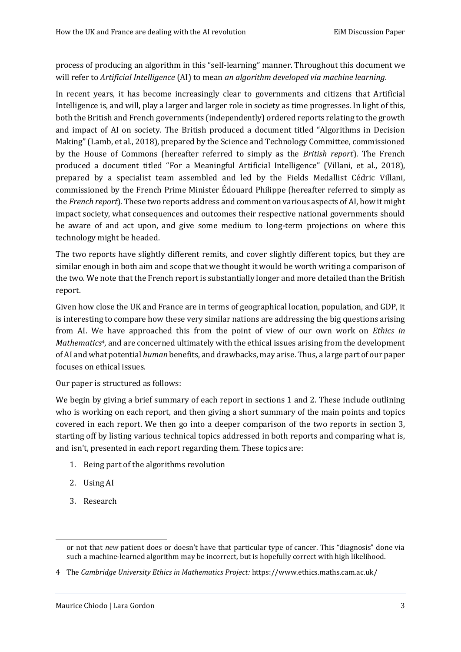process of producing an algorithm in this "self-learning" manner. Throughout this document we will refer to *Artificial Intelligence* (AI) to mean *an algorithm developed via machine learning*.

In recent years, it has become increasingly clear to governments and citizens that Artificial Intelligence is, and will, play a larger and larger role in society as time progresses. In light of this, both the British and French governments (independently) ordered reports relating to the growth and impact of AI on society. The British produced a document titled "Algorithms in Decision Making" (Lamb, et al., 2018), prepared by the Science and Technology Committee, commissioned by the House of Commons (hereafter referred to simply as the *British report*). The French produced a document titled "For a Meaningful Artificial Intelligence" (Villani, et al., 2018), prepared by a specialist team assembled and led by the Fields Medallist Cédric Villani, commissioned by the French Prime Minister Édouard Philippe (hereafter referred to simply as the *French report*). These two reports address and comment on various aspects of AI, how it might impact society, what consequences and outcomes their respective national governments should be aware of and act upon, and give some medium to long-term projections on where this technology might be headed.

The two reports have slightly different remits, and cover slightly different topics, but they are similar enough in both aim and scope that we thought it would be worth writing a comparison of the two. We note that the French report is substantially longer and more detailed than the British report.

Given how close the UK and France are in terms of geographical location, population, and GDP, it is interesting to compare how these very similar nations are addressing the big questions arising from AI. We have approached this from the point of view of our own work on *Ethics in Mathematics4*, and are concerned ultimately with the ethical issues arising from the development of AI and what potential *human* benefits, and drawbacks, may arise. Thus, a large part of our paper focuses on ethical issues.

Our paper is structured as follows:

We begin by giving a brief summary of each report in sections 1 and 2. These include outlining who is working on each report, and then giving a short summary of the main points and topics covered in each report. We then go into a deeper comparison of the two reports in section 3, starting off by listing various technical topics addressed in both reports and comparing what is, and isn't, presented in each report regarding them. These topics are:

- 1. Being part of the algorithms revolution
- 2. Using AI
- 3. Research

or not that *new* patient does or doesn't have that particular type of cancer. This "diagnosis" done via such a machine-learned algorithm may be incorrect, but is hopefully correct with high likelihood.

<sup>4</sup> The *Cambridge University Ethics in Mathematics Project:* https://www.ethics.maths.cam.ac.uk/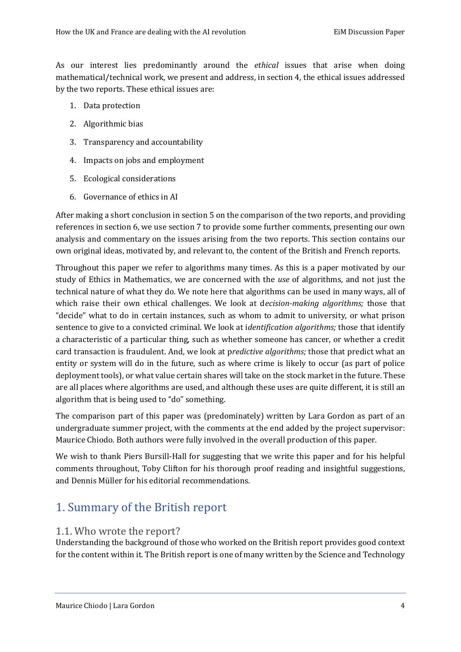As our interest lies predominantly around the *ethical* issues that arise when doing mathematical/technical work, we present and address, in section 4, the ethical issues addressed by the two reports. These ethical issues are:

- 1. Data protection
- 2. Algorithmic bias
- 3. Transparency and accountability
- 4. Impacts on jobs and employment
- 5. Ecological considerations
- 6. Governance of ethics in AI

After making a short conclusion in section 5 on the comparison of the two reports, and providing references in section 6, we use section 7 to provide some further comments, presenting our own analysis and commentary on the issues arising from the two reports. This section contains our own original ideas, motivated by, and relevant to, the content of the British and French reports.

Throughout this paper we refer to algorithms many times. As this is a paper motivated by our study of Ethics in Mathematics, we are concerned with the *use* of algorithms*,* and not just the technical nature of what they do. We note here that algorithms can be used in many ways, all of which raise their own ethical challenges. We look at d*ecision-making algorithms;* those that "decide" what to do in certain instances, such as whom to admit to university, or what prison sentence to give to a convicted criminal. We look at i*dentification algorithms;* those that identify a characteristic of a particular thing, such as whether someone has cancer, or whether a credit card transaction is fraudulent. And, we look at p*redictive algorithms;* those that predict what an entity or system will do in the future, such as where crime is likely to occur (as part of police deployment tools), or what value certain shares will take on the stock market in the future. These are all places where algorithms are used, and although these uses are quite different, it is still an algorithm that is being used to "do" something.

The comparison part of this paper was (predominately) written by Lara Gordon as part of an undergraduate summer project, with the comments at the end added by the project supervisor: Maurice Chiodo. Both authors were fully involved in the overall production of this paper.

We wish to thank Piers Bursill-Hall for suggesting that we write this paper and for his helpful comments throughout, Toby Clifton for his thorough proof reading and insightful suggestions, and Dennis Müller for his editorial recommendations.

# <span id="page-6-0"></span>1. Summary of the British report

# <span id="page-6-1"></span>1.1. Who wrote the report?

Understanding the background of those who worked on the British report provides good context for the content within it. The British report is one of many written by the Science and Technology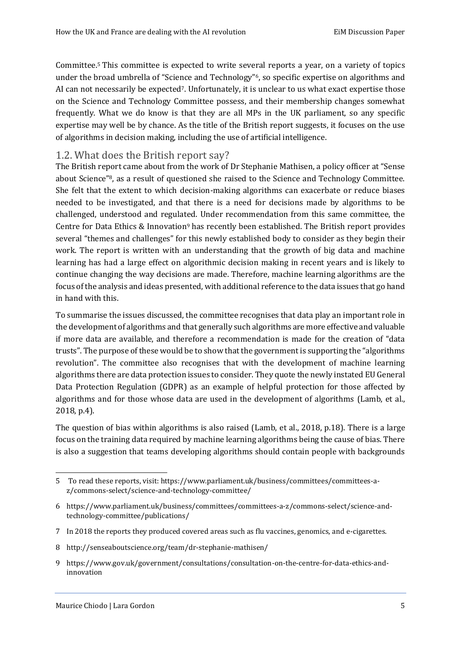Committee.<sup>5</sup> This committee is expected to write several reports a year, on a variety of topics under the broad umbrella of "Science and Technology"<sup>6</sup>, so specific expertise on algorithms and AI can not necessarily be expected7. Unfortunately, it is unclear to us what exact expertise those on the Science and Technology Committee possess, and their membership changes somewhat frequently. What we do know is that they are all MPs in the UK parliament, so any specific expertise may well be by chance. As the title of the British report suggests, it focuses on the use of algorithms in decision making, including the use of artificial intelligence.

## <span id="page-7-0"></span>1.2. What does the British report say?

The British report came about from the work of Dr Stephanie Mathisen, a policy officer at "Sense about Science"8, as a result of questioned she raised to the Science and Technology Committee. She felt that the extent to which decision-making algorithms can exacerbate or reduce biases needed to be investigated, and that there is a need for decisions made by algorithms to be challenged, understood and regulated. Under recommendation from this same committee, the Centre for Data Ethics & Innovation<sup>9</sup> has recently been established. The British report provides several "themes and challenges" for this newly established body to consider as they begin their work. The report is written with an understanding that the growth of big data and machine learning has had a large effect on algorithmic decision making in recent years and is likely to continue changing the way decisions are made. Therefore, machine learning algorithms are the focus of the analysis and ideas presented, with additional reference to the data issues that go hand in hand with this.

To summarise the issues discussed, the committee recognises that data play an important role in the development of algorithms and that generally such algorithms are more effective and valuable if more data are available, and therefore a recommendation is made for the creation of "data trusts". The purpose of these would be to show that the government is supporting the "algorithms revolution". The committee also recognises that with the development of machine learning algorithms there are data protection issues to consider. They quote the newly instated EU General Data Protection Regulation (GDPR) as an example of helpful protection for those affected by algorithms and for those whose data are used in the development of algorithms (Lamb, et al., 2018, p.4).

The question of bias within algorithms is also raised (Lamb, et al., 2018, p.18). There is a large focus on the training data required by machine learning algorithms being the cause of bias. There is also a suggestion that teams developing algorithms should contain people with backgrounds

<sup>5</sup> To read these reports, visit: https://www.parliament.uk/business/committees/committees-az/commons-select/science-and-technology-committee/

<sup>6</sup> https://www.parliament.uk/business/committees/committees-a-z/commons-select/science-andtechnology-committee/publications/

<sup>7</sup> In 2018 the reports they produced covered areas such as flu vaccines, genomics, and e-cigarettes.

<sup>8</sup> http://senseaboutscience.org/team/dr-stephanie-mathisen/

<sup>9</sup> https://www.gov.uk/government/consultations/consultation-on-the-centre-for-data-ethics-andinnovation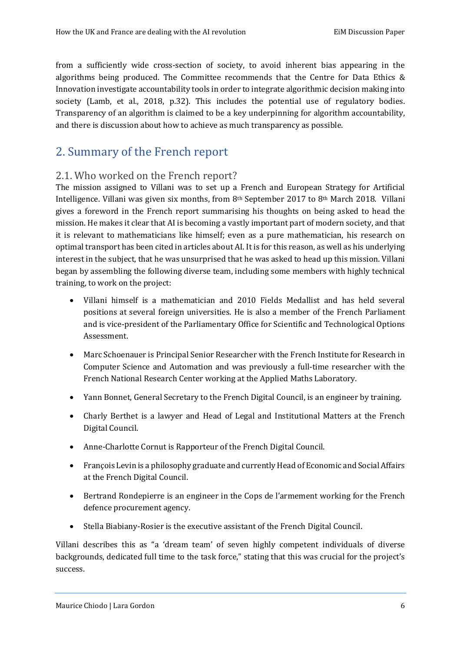from a sufficiently wide cross-section of society, to avoid inherent bias appearing in the algorithms being produced. The Committee recommends that the Centre for Data Ethics & Innovation investigate accountability tools in order to integrate algorithmic decision making into society (Lamb, et al., 2018, p.32). This includes the potential use of regulatory bodies. Transparency of an algorithm is claimed to be a key underpinning for algorithm accountability, and there is discussion about how to achieve as much transparency as possible.

# <span id="page-8-0"></span>2. Summary of the French report

# <span id="page-8-1"></span>2.1. Who worked on the French report?

The mission assigned to Villani was to set up a French and European Strategy for Artificial Intelligence. Villani was given six months, from 8th September 2017 to 8th March 2018. Villani gives a foreword in the French report summarising his thoughts on being asked to head the mission. He makes it clear that AI is becoming a vastly important part of modern society, and that it is relevant to mathematicians like himself; even as a pure mathematician, his research on optimal transport has been cited in articles about AI. It is for this reason, as well as his underlying interest in the subject, that he was unsurprised that he was asked to head up this mission. Villani began by assembling the following diverse team, including some members with highly technical training, to work on the project:

- Villani himself is a mathematician and 2010 Fields Medallist and has held several positions at several foreign universities. He is also a member of the French Parliament and is vice-president of the Parliamentary Office for Scientific and Technological Options Assessment.
- Marc Schoenauer is Principal Senior Researcher with the French Institute for Research in Computer Science and Automation and was previously a full-time researcher with the French National Research Center working at the Applied Maths Laboratory.
- Yann Bonnet, General Secretary to the French Digital Council, is an engineer by training.
- Charly Berthet is a lawyer and Head of Legal and Institutional Matters at the French Digital Council.
- Anne-Charlotte Cornut is Rapporteur of the French Digital Council.
- François Levin is a philosophy graduate and currently Head of Economic and Social Affairs at the French Digital Council.
- Bertrand Rondepierre is an engineer in the Cops de l'armement working for the French defence procurement agency.
- Stella Biabiany-Rosier is the executive assistant of the French Digital Council.

Villani describes this as "a 'dream team' of seven highly competent individuals of diverse backgrounds, dedicated full time to the task force," stating that this was crucial for the project's success.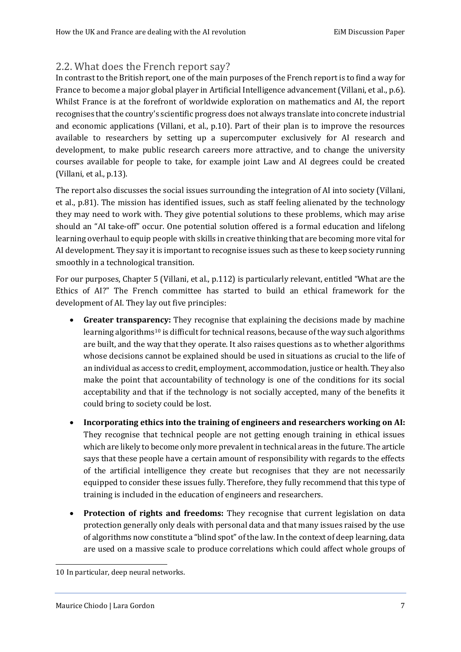# <span id="page-9-0"></span>2.2. What does the French report say?

In contrast to the British report, one of the main purposes of the French report is to find a way for France to become a major global player in Artificial Intelligence advancement (Villani, et al., p.6). Whilst France is at the forefront of worldwide exploration on mathematics and AI, the report recognises that the country's scientific progress does not always translate into concrete industrial and economic applications (Villani, et al., p.10). Part of their plan is to improve the resources available to researchers by setting up a supercomputer exclusively for AI research and development, to make public research careers more attractive, and to change the university courses available for people to take, for example joint Law and AI degrees could be created (Villani, et al., p.13).

The report also discusses the social issues surrounding the integration of AI into society (Villani, et al., p.81). The mission has identified issues, such as staff feeling alienated by the technology they may need to work with. They give potential solutions to these problems, which may arise should an "AI take-off" occur. One potential solution offered is a formal education and lifelong learning overhaul to equip people with skills in creative thinking that are becoming more vital for AI development. They say it is important to recognise issues such as these to keep society running smoothly in a technological transition.

For our purposes, Chapter 5 (Villani, et al., p.112) is particularly relevant, entitled "What are the Ethics of AI?" The French committee has started to build an ethical framework for the development of AI. They lay out five principles:

- **Greater transparency:** They recognise that explaining the decisions made by machine learning algorithms<sup>10</sup> is difficult for technical reasons, because of the way such algorithms are built, and the way that they operate. It also raises questions as to whether algorithms whose decisions cannot be explained should be used in situations as crucial to the life of an individual as access to credit, employment, accommodation, justice or health. They also make the point that accountability of technology is one of the conditions for its social acceptability and that if the technology is not socially accepted, many of the benefits it could bring to society could be lost.
- **Incorporating ethics into the training of engineers and researchers working on AI:** They recognise that technical people are not getting enough training in ethical issues which are likely to become only more prevalent in technical areas in the future. The article says that these people have a certain amount of responsibility with regards to the effects of the artificial intelligence they create but recognises that they are not necessarily equipped to consider these issues fully. Therefore, they fully recommend that this type of training is included in the education of engineers and researchers.
- **Protection of rights and freedoms:** They recognise that current legislation on data protection generally only deals with personal data and that many issues raised by the use of algorithms now constitute a "blind spot" of the law. In the context of deep learning, data are used on a massive scale to produce correlations which could affect whole groups of

<sup>10</sup> In particular, deep neural networks.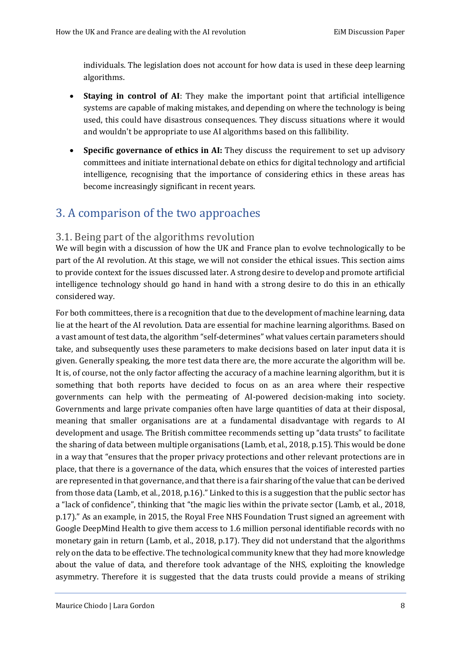individuals. The legislation does not account for how data is used in these deep learning algorithms.

- **Staying in control of AI**: They make the important point that artificial intelligence systems are capable of making mistakes, and depending on where the technology is being used, this could have disastrous consequences. They discuss situations where it would and wouldn't be appropriate to use AI algorithms based on this fallibility.
- **Specific governance of ethics in AI:** They discuss the requirement to set up advisory committees and initiate international debate on ethics for digital technology and artificial intelligence, recognising that the importance of considering ethics in these areas has become increasingly significant in recent years.

# <span id="page-10-0"></span>3. A comparison of the two approaches

# <span id="page-10-1"></span>3.1. Being part of the algorithms revolution

We will begin with a discussion of how the UK and France plan to evolve technologically to be part of the AI revolution. At this stage, we will not consider the ethical issues. This section aims to provide context for the issues discussed later. A strong desire to develop and promote artificial intelligence technology should go hand in hand with a strong desire to do this in an ethically considered way.

For both committees, there is a recognition that due to the development of machine learning, data lie at the heart of the AI revolution. Data are essential for machine learning algorithms. Based on a vast amount of test data, the algorithm "self-determines" what values certain parameters should take, and subsequently uses these parameters to make decisions based on later input data it is given. Generally speaking, the more test data there are, the more accurate the algorithm will be. It is, of course, not the only factor affecting the accuracy of a machine learning algorithm, but it is something that both reports have decided to focus on as an area where their respective governments can help with the permeating of AI-powered decision-making into society. Governments and large private companies often have large quantities of data at their disposal, meaning that smaller organisations are at a fundamental disadvantage with regards to AI development and usage. The British committee recommends setting up "data trusts" to facilitate the sharing of data between multiple organisations (Lamb, et al., 2018, p.15). This would be done in a way that "ensures that the proper privacy protections and other relevant protections are in place, that there is a governance of the data, which ensures that the voices of interested parties are represented in that governance, and that there is a fair sharing of the value that can be derived from those data (Lamb, et al., 2018, p.16)." Linked to this is a suggestion that the public sector has a "lack of confidence", thinking that "the magic lies within the private sector (Lamb, et al., 2018, p.17)." As an example, in 2015, the Royal Free NHS Foundation Trust signed an agreement with Google DeepMind Health to give them access to 1.6 million personal identifiable records with no monetary gain in return (Lamb, et al., 2018, p.17). They did not understand that the algorithms rely on the data to be effective. The technological community knew that they had more knowledge about the value of data, and therefore took advantage of the NHS, exploiting the knowledge asymmetry. Therefore it is suggested that the data trusts could provide a means of striking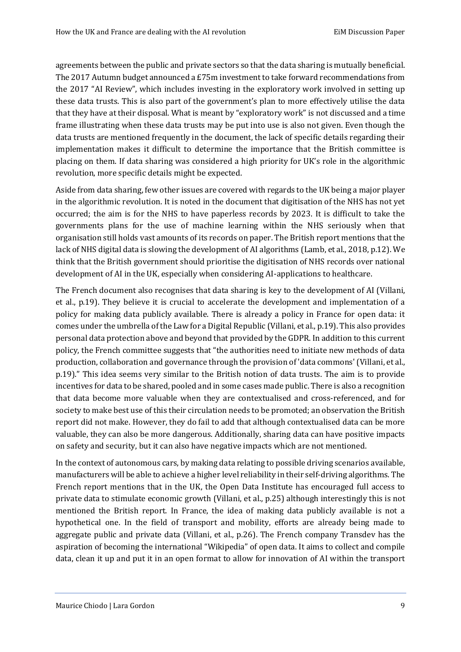agreements between the public and private sectors so that the data sharing is mutually beneficial. The 2017 Autumn budget announced a £75m investment to take forward recommendations from the 2017 "AI Review", which includes investing in the exploratory work involved in setting up these data trusts. This is also part of the government's plan to more effectively utilise the data that they have at their disposal. What is meant by "exploratory work" is not discussed and a time frame illustrating when these data trusts may be put into use is also not given. Even though the data trusts are mentioned frequently in the document, the lack of specific details regarding their implementation makes it difficult to determine the importance that the British committee is placing on them. If data sharing was considered a high priority for UK's role in the algorithmic revolution, more specific details might be expected.

Aside from data sharing, few other issues are covered with regards to the UK being a major player in the algorithmic revolution. It is noted in the document that digitisation of the NHS has not yet occurred; the aim is for the NHS to have paperless records by 2023. It is difficult to take the governments plans for the use of machine learning within the NHS seriously when that organisation still holds vast amounts of its records on paper. The British report mentions that the lack of NHS digital data is slowing the development of AI algorithms (Lamb, et al., 2018, p.12). We think that the British government should prioritise the digitisation of NHS records over national development of AI in the UK, especially when considering AI-applications to healthcare.

The French document also recognises that data sharing is key to the development of AI (Villani, et al., p.19). They believe it is crucial to accelerate the development and implementation of a policy for making data publicly available. There is already a policy in France for open data: it comes under the umbrella of the Law for a Digital Republic (Villani, et al., p.19). This also provides personal data protection above and beyond that provided by the GDPR. In addition to this current policy, the French committee suggests that "the authorities need to initiate new methods of data production, collaboration and governance through the provision of 'data commons' (Villani, et al., p.19)." This idea seems very similar to the British notion of data trusts. The aim is to provide incentives for data to be shared, pooled and in some cases made public. There is also a recognition that data become more valuable when they are contextualised and cross-referenced, and for society to make best use of this their circulation needs to be promoted; an observation the British report did not make. However, they do fail to add that although contextualised data can be more valuable, they can also be more dangerous. Additionally, sharing data can have positive impacts on safety and security, but it can also have negative impacts which are not mentioned.

In the context of autonomous cars, by making data relating to possible driving scenarios available, manufacturers will be able to achieve a higher level reliability in their self-driving algorithms. The French report mentions that in the UK, the Open Data Institute has encouraged full access to private data to stimulate economic growth (Villani, et al., p.25) although interestingly this is not mentioned the British report. In France, the idea of making data publicly available is not a hypothetical one. In the field of transport and mobility, efforts are already being made to aggregate public and private data (Villani, et al., p.26). The French company Transdev has the aspiration of becoming the international "Wikipedia" of open data. It aims to collect and compile data, clean it up and put it in an open format to allow for innovation of AI within the transport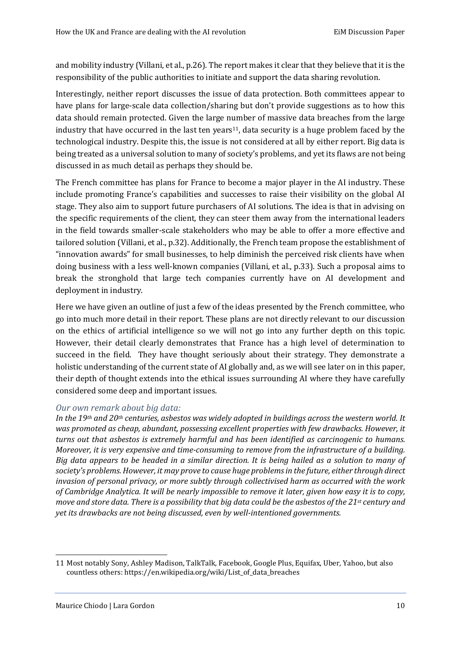and mobility industry (Villani, et al., p.26). The report makes it clear that they believe that it is the responsibility of the public authorities to initiate and support the data sharing revolution.

Interestingly, neither report discusses the issue of data protection. Both committees appear to have plans for large-scale data collection/sharing but don't provide suggestions as to how this data should remain protected. Given the large number of massive data breaches from the large industry that have occurred in the last ten years<sup>11</sup>, data security is a huge problem faced by the technological industry. Despite this, the issue is not considered at all by either report. Big data is being treated as a universal solution to many of society's problems, and yet its flaws are not being discussed in as much detail as perhaps they should be.

The French committee has plans for France to become a major player in the AI industry. These include promoting France's capabilities and successes to raise their visibility on the global AI stage. They also aim to support future purchasers of AI solutions. The idea is that in advising on the specific requirements of the client, they can steer them away from the international leaders in the field towards smaller-scale stakeholders who may be able to offer a more effective and tailored solution (Villani, et al., p.32). Additionally, the French team propose the establishment of "innovation awards" for small businesses, to help diminish the perceived risk clients have when doing business with a less well-known companies (Villani, et al., p.33). Such a proposal aims to break the stronghold that large tech companies currently have on AI development and deployment in industry.

Here we have given an outline of just a few of the ideas presented by the French committee, who go into much more detail in their report. These plans are not directly relevant to our discussion on the ethics of artificial intelligence so we will not go into any further depth on this topic. However, their detail clearly demonstrates that France has a high level of determination to succeed in the field. They have thought seriously about their strategy. They demonstrate a holistic understanding of the current state of AI globally and, as we will see later on in this paper, their depth of thought extends into the ethical issues surrounding AI where they have carefully considered some deep and important issues.

#### *Our own remark about big data:*

*In the 19th and 20th centuries, asbestos was widely adopted in buildings across the western world. It was promoted as cheap, abundant, possessing excellent properties with few drawbacks. However, it turns out that asbestos is extremely harmful and has been identified as carcinogenic to humans. Moreover, it is very expensive and time-consuming to remove from the infrastructure of a building. Big data appears to be headed in a similar direction. It is being hailed as a solution to many of society's problems. However, it may prove to cause huge problems in the future, either through direct invasion of personal privacy, or more subtly through collectivised harm as occurred with the work of Cambridge Analytica. It will be nearly impossible to remove it later, given how easy it is to copy, move and store data. There is a possibility that big data could be the asbestos of the 21st century and yet its drawbacks are not being discussed, even by well-intentioned governments.*

<sup>11</sup> Most notably Sony, Ashley Madison, TalkTalk, Facebook, Google Plus, Equifax, Uber, Yahoo, but also countless others: https://en.wikipedia.org/wiki/List\_of\_data\_breaches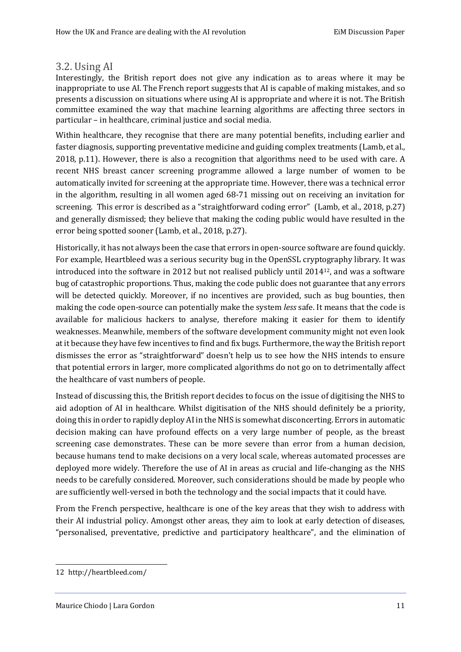## <span id="page-13-0"></span>3.2. Using AI

Interestingly, the British report does not give any indication as to areas where it may be inappropriate to use AI. The French report suggests that AI is capable of making mistakes, and so presents a discussion on situations where using AI is appropriate and where it is not. The British committee examined the way that machine learning algorithms are affecting three sectors in particular – in healthcare, criminal justice and social media.

Within healthcare, they recognise that there are many potential benefits, including earlier and faster diagnosis, supporting preventative medicine and guiding complex treatments (Lamb, et al., 2018, p.11). However, there is also a recognition that algorithms need to be used with care. A recent NHS breast cancer screening programme allowed a large number of women to be automatically invited for screening at the appropriate time. However, there was a technical error in the algorithm, resulting in all women aged 68-71 missing out on receiving an invitation for screening. This error is described as a "straightforward coding error" (Lamb, et al., 2018, p.27) and generally dismissed; they believe that making the coding public would have resulted in the error being spotted sooner (Lamb, et al., 2018, p.27).

Historically, it has not always been the case that errors in open-source software are found quickly. For example, Heartbleed was a serious security bug in the OpenSSL cryptography library. It was introduced into the software in 2012 but not realised publicly until 201412, and was a software bug of catastrophic proportions. Thus, making the code public does not guarantee that any errors will be detected quickly. Moreover, if no incentives are provided, such as bug bounties, then making the code open-source can potentially make the system *less* safe. It means that the code is available for malicious hackers to analyse, therefore making it easier for them to identify weaknesses. Meanwhile, members of the software development community might not even look at it because they have few incentives to find and fix bugs. Furthermore, the way the British report dismisses the error as "straightforward" doesn't help us to see how the NHS intends to ensure that potential errors in larger, more complicated algorithms do not go on to detrimentally affect the healthcare of vast numbers of people.

Instead of discussing this, the British report decides to focus on the issue of digitising the NHS to aid adoption of AI in healthcare. Whilst digitisation of the NHS should definitely be a priority, doing this in order to rapidly deploy AI in the NHS is somewhat disconcerting. Errors in automatic decision making can have profound effects on a very large number of people, as the breast screening case demonstrates. These can be more severe than error from a human decision, because humans tend to make decisions on a very local scale, whereas automated processes are deployed more widely. Therefore the use of AI in areas as crucial and life-changing as the NHS needs to be carefully considered. Moreover, such considerations should be made by people who are sufficiently well-versed in both the technology and the social impacts that it could have.

From the French perspective, healthcare is one of the key areas that they wish to address with their AI industrial policy. Amongst other areas, they aim to look at early detection of diseases, "personalised, preventative, predictive and participatory healthcare", and the elimination of

<sup>12</sup> http://heartbleed.com/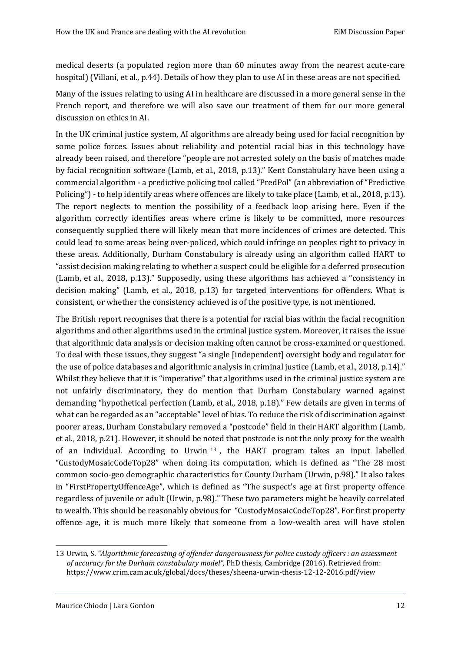medical deserts (a populated region more than 60 minutes away from the nearest acute-care hospital) (Villani, et al., p.44). Details of how they plan to use AI in these areas are not specified.

Many of the issues relating to using AI in healthcare are discussed in a more general sense in the French report, and therefore we will also save our treatment of them for our more general discussion on ethics in AI.

In the UK criminal justice system, AI algorithms are already being used for facial recognition by some police forces. Issues about reliability and potential racial bias in this technology have already been raised, and therefore "people are not arrested solely on the basis of matches made by facial recognition software (Lamb, et al., 2018, p.13)." Kent Constabulary have been using a commercial algorithm - a predictive policing tool called "PredPol" (an abbreviation of "Predictive Policing") - to help identify areas where offences are likely to take place (Lamb, et al., 2018, p.13). The report neglects to mention the possibility of a feedback loop arising here. Even if the algorithm correctly identifies areas where crime is likely to be committed, more resources consequently supplied there will likely mean that more incidences of crimes are detected. This could lead to some areas being over-policed, which could infringe on peoples right to privacy in these areas. Additionally, Durham Constabulary is already using an algorithm called HART to "assist decision making relating to whether a suspect could be eligible for a deferred prosecution (Lamb, et al., 2018, p.13)." Supposedly, using these algorithms has achieved a "consistency in decision making" (Lamb, et al., 2018, p.13) for targeted interventions for offenders. What is consistent, or whether the consistency achieved is of the positive type, is not mentioned.

The British report recognises that there is a potential for racial bias within the facial recognition algorithms and other algorithms used in the criminal justice system. Moreover, it raises the issue that algorithmic data analysis or decision making often cannot be cross-examined or questioned. To deal with these issues, they suggest "a single [independent] oversight body and regulator for the use of police databases and algorithmic analysis in criminal justice (Lamb, et al., 2018, p.14)." Whilst they believe that it is "imperative" that algorithms used in the criminal justice system are not unfairly discriminatory, they do mention that Durham Constabulary warned against demanding "hypothetical perfection (Lamb, et al., 2018, p.18)." Few details are given in terms of what can be regarded as an "acceptable" level of bias. To reduce the risk of discrimination against poorer areas, Durham Constabulary removed a "postcode" field in their HART algorithm (Lamb, et al., 2018, p.21). However, it should be noted that postcode is not the only proxy for the wealth of an individual. According to Urwin <sup>13</sup> *,* the HART program takes an input labelled "CustodyMosaicCodeTop28" when doing its computation, which is defined as "The 28 most common socio-geo demographic characteristics for County Durham (Urwin, p.98)." It also takes in "FirstPropertyOffenceAge", which is defined as "The suspect's age at first property offence regardless of juvenile or adult (Urwin, p.98)." These two parameters might be heavily correlated to wealth. This should be reasonably obvious for "CustodyMosaicCodeTop28". For first property offence age, it is much more likely that someone from a low-wealth area will have stolen

<sup>13</sup> Urwin, S. *"Algorithmic forecasting of offender dangerousness for police custody officers : an assessment of accuracy for the Durham constabulary model",* PhD thesis, Cambridge (2016). Retrieved from: https://www.crim.cam.ac.uk/global/docs/theses/sheena-urwin-thesis-12-12-2016.pdf/view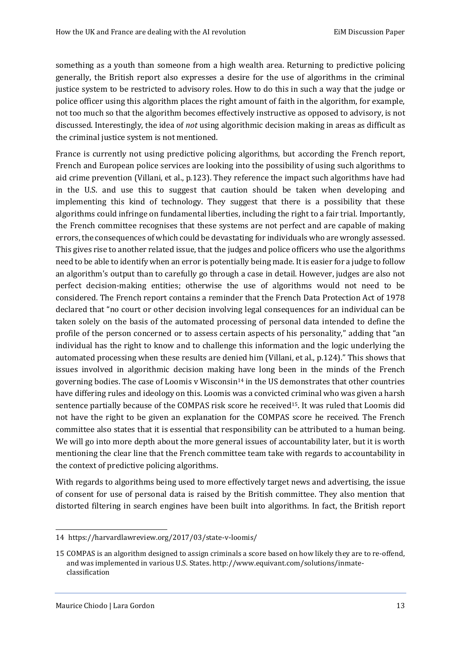something as a youth than someone from a high wealth area. Returning to predictive policing generally, the British report also expresses a desire for the use of algorithms in the criminal justice system to be restricted to advisory roles. How to do this in such a way that the judge or police officer using this algorithm places the right amount of faith in the algorithm, for example, not too much so that the algorithm becomes effectively instructive as opposed to advisory, is not discussed. Interestingly, the idea of *not* using algorithmic decision making in areas as difficult as the criminal justice system is not mentioned.

France is currently not using predictive policing algorithms, but according the French report, French and European police services are looking into the possibility of using such algorithms to aid crime prevention (Villani, et al., p.123). They reference the impact such algorithms have had in the U.S. and use this to suggest that caution should be taken when developing and implementing this kind of technology. They suggest that there is a possibility that these algorithms could infringe on fundamental liberties, including the right to a fair trial. Importantly, the French committee recognises that these systems are not perfect and are capable of making errors, the consequences of which could be devastating for individuals who are wrongly assessed. This gives rise to another related issue, that the judges and police officers who use the algorithms need to be able to identify when an error is potentially being made. It is easier for a judge to follow an algorithm's output than to carefully go through a case in detail. However, judges are also not perfect decision-making entities; otherwise the use of algorithms would not need to be considered. The French report contains a reminder that the French Data Protection Act of 1978 declared that "no court or other decision involving legal consequences for an individual can be taken solely on the basis of the automated processing of personal data intended to define the profile of the person concerned or to assess certain aspects of his personality," adding that "an individual has the right to know and to challenge this information and the logic underlying the automated processing when these results are denied him (Villani, et al., p.124)." This shows that issues involved in algorithmic decision making have long been in the minds of the French governing bodies. The case of Loomis v Wisconsin<sup>14</sup> in the US demonstrates that other countries have differing rules and ideology on this. Loomis was a convicted criminal who was given a harsh sentence partially because of the COMPAS risk score he received<sup>15</sup>. It was ruled that Loomis did not have the right to be given an explanation for the COMPAS score he received. The French committee also states that it is essential that responsibility can be attributed to a human being. We will go into more depth about the more general issues of accountability later, but it is worth mentioning the clear line that the French committee team take with regards to accountability in the context of predictive policing algorithms.

With regards to algorithms being used to more effectively target news and advertising, the issue of consent for use of personal data is raised by the British committee. They also mention that distorted filtering in search engines have been built into algorithms. In fact, the British report

<sup>14</sup> https://harvardlawreview.org/2017/03/state-v-loomis/

<sup>15</sup> COMPAS is an algorithm designed to assign criminals a score based on how likely they are to re-offend, and was implemented in various U.S. States. http://www.equivant.com/solutions/inmateclassification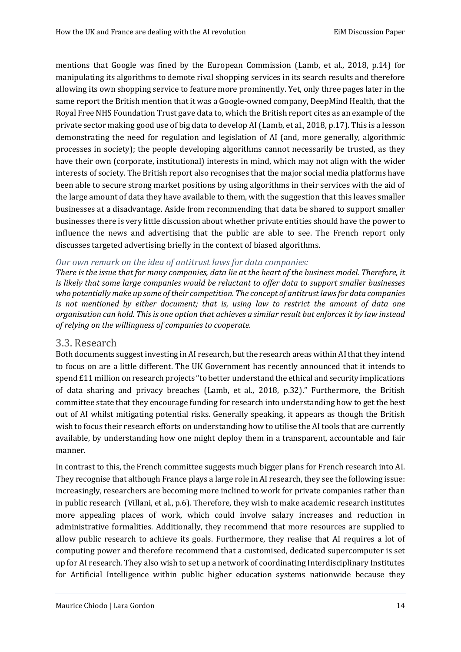mentions that Google was fined by the European Commission (Lamb, et al., 2018, p.14) for manipulating its algorithms to demote rival shopping services in its search results and therefore allowing its own shopping service to feature more prominently. Yet, only three pages later in the same report the British mention that it was a Google-owned company, DeepMind Health, that the Royal Free NHS Foundation Trust gave data to, which the British report cites as an example of the private sector making good use of big data to develop AI (Lamb, et al., 2018, p.17). This is a lesson demonstrating the need for regulation and legislation of AI (and, more generally, algorithmic processes in society); the people developing algorithms cannot necessarily be trusted, as they have their own (corporate, institutional) interests in mind, which may not align with the wider interests of society. The British report also recognises that the major social media platforms have been able to secure strong market positions by using algorithms in their services with the aid of the large amount of data they have available to them, with the suggestion that this leaves smaller businesses at a disadvantage. Aside from recommending that data be shared to support smaller businesses there is very little discussion about whether private entities should have the power to influence the news and advertising that the public are able to see. The French report only discusses targeted advertising briefly in the context of biased algorithms.

#### *Our own remark on the idea of antitrust laws for data companies:*

*There is the issue that for many companies, data lie at the heart of the business model. Therefore, it is likely that some large companies would be reluctant to offer data to support smaller businesses who potentially make up some of their competition. The concept of antitrust laws for data companies is not mentioned by either document; that is, using law to restrict the amount of data one organisation can hold. This is one option that achieves a similar result but enforces it by law instead of relying on the willingness of companies to cooperate.*

#### <span id="page-16-0"></span>3.3. Research

Both documents suggest investing in AI research, but the research areas within AI that they intend to focus on are a little different. The UK Government has recently announced that it intends to spend £11 million on research projects "to better understand the ethical and security implications of data sharing and privacy breaches (Lamb, et al., 2018, p.32)." Furthermore, the British committee state that they encourage funding for research into understanding how to get the best out of AI whilst mitigating potential risks. Generally speaking, it appears as though the British wish to focus their research efforts on understanding how to utilise the AI tools that are currently available, by understanding how one might deploy them in a transparent, accountable and fair manner.

In contrast to this, the French committee suggests much bigger plans for French research into AI. They recognise that although France plays a large role in AI research, they see the following issue: increasingly, researchers are becoming more inclined to work for private companies rather than in public research (Villani, et al., p.6). Therefore, they wish to make academic research institutes more appealing places of work, which could involve salary increases and reduction in administrative formalities. Additionally, they recommend that more resources are supplied to allow public research to achieve its goals. Furthermore, they realise that AI requires a lot of computing power and therefore recommend that a customised, dedicated supercomputer is set up for AI research. They also wish to set up a network of coordinating Interdisciplinary Institutes for Artificial Intelligence within public higher education systems nationwide because they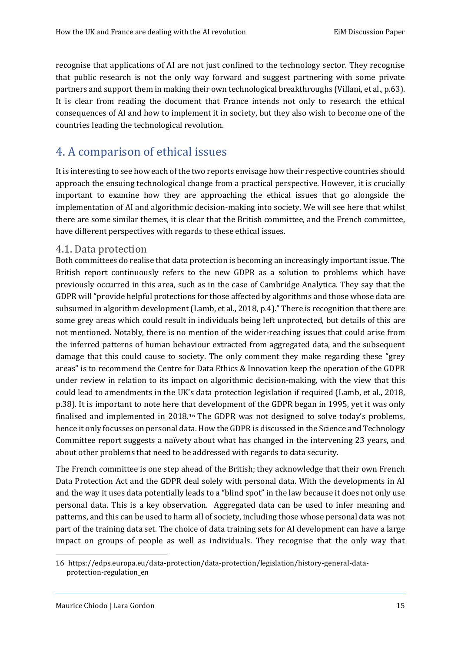recognise that applications of AI are not just confined to the technology sector. They recognise that public research is not the only way forward and suggest partnering with some private partners and support them in making their own technological breakthroughs (Villani, et al., p.63). It is clear from reading the document that France intends not only to research the ethical consequences of AI and how to implement it in society, but they also wish to become one of the countries leading the technological revolution.

# <span id="page-17-0"></span>4. A comparison of ethical issues

It is interesting to see how each of the two reports envisage how their respective countries should approach the ensuing technological change from a practical perspective. However, it is crucially important to examine how they are approaching the ethical issues that go alongside the implementation of AI and algorithmic decision-making into society. We will see here that whilst there are some similar themes, it is clear that the British committee, and the French committee, have different perspectives with regards to these ethical issues.

#### <span id="page-17-1"></span>4.1. Data protection

Both committees do realise that data protection is becoming an increasingly important issue. The British report continuously refers to the new GDPR as a solution to problems which have previously occurred in this area, such as in the case of Cambridge Analytica. They say that the GDPR will "provide helpful protections for those affected by algorithms and those whose data are subsumed in algorithm development (Lamb, et al., 2018, p.4)." There is recognition that there are some grey areas which could result in individuals being left unprotected, but details of this are not mentioned. Notably, there is no mention of the wider-reaching issues that could arise from the inferred patterns of human behaviour extracted from aggregated data, and the subsequent damage that this could cause to society. The only comment they make regarding these "grey areas" is to recommend the Centre for Data Ethics & Innovation keep the operation of the GDPR under review in relation to its impact on algorithmic decision-making, with the view that this could lead to amendments in the UK's data protection legislation if required (Lamb, et al., 2018, p.38). It is important to note here that development of the GDPR began in 1995, yet it was only finalised and implemented in 2018.<sup>16</sup> The GDPR was not designed to solve today's problems, hence it only focusses on personal data. How the GDPR is discussed in the Science and Technology Committee report suggests a naïvety about what has changed in the intervening 23 years, and about other problems that need to be addressed with regards to data security.

The French committee is one step ahead of the British; they acknowledge that their own French Data Protection Act and the GDPR deal solely with personal data. With the developments in AI and the way it uses data potentially leads to a "blind spot" in the law because it does not only use personal data. This is a key observation. Aggregated data can be used to infer meaning and patterns, and this can be used to harm all of society, including those whose personal data was not part of the training data set. The choice of data training sets for AI development can have a large impact on groups of people as well as individuals. They recognise that the only way that

<sup>16</sup> https://edps.europa.eu/data-protection/data-protection/legislation/history-general-dataprotection-regulation\_en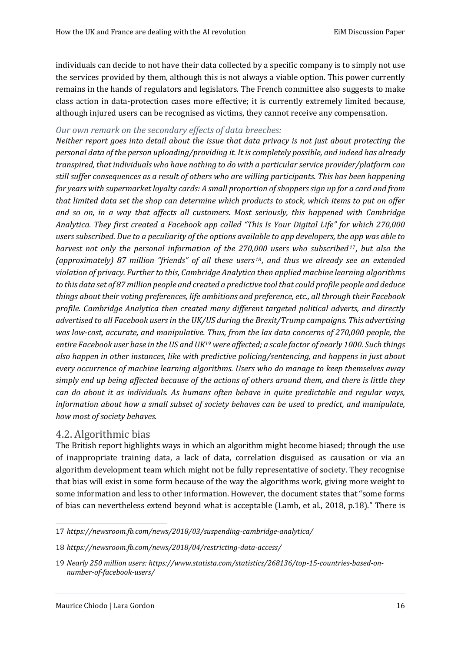individuals can decide to not have their data collected by a specific company is to simply not use the services provided by them, although this is not always a viable option. This power currently remains in the hands of regulators and legislators. The French committee also suggests to make class action in data-protection cases more effective; it is currently extremely limited because, although injured users can be recognised as victims, they cannot receive any compensation.

#### *Our own remark on the secondary effects of data breeches:*

*Neither report goes into detail about the issue that data privacy is not just about protecting the personal data of the person uploading/providing it. It is completely possible, and indeed has already transpired, that individuals who have nothing to do with a particular service provider/platform can still suffer consequences as a result of others who are willing participants. This has been happening for years with supermarket loyalty cards: A small proportion of shoppers sign up for a card and from that limited data set the shop can determine which products to stock, which items to put on offer and so on, in a way that affects all customers. Most seriously, this happened with Cambridge Analytica. They first created a Facebook app called "This Is Your Digital Life" for which 270,000 users subscribed. Due to a peculiarity of the options available to app developers, the app was able to harvest not only the personal information of the 270,000 users who subscribed <sup>17</sup>, but also the (approximately) 87 million "friends" of all these users <sup>18</sup> , and thus we already see an extended violation of privacy. Further to this, Cambridge Analytica then applied machine learning algorithms to this data set of 87 million people and created a predictive tool that could profile people and deduce things about their voting preferences, life ambitions and preference, etc., all through their Facebook profile. Cambridge Analytica then created many different targeted political adverts, and directly advertised to all Facebook users in the UK/US during the Brexit/Trump campaigns. This advertising was low-cost, accurate, and manipulative. Thus, from the lax data concerns of 270,000 people, the entire Facebook user base in the US and UK<sup>19</sup> were affected; a scale factor of nearly 1000. Such things also happen in other instances, like with predictive policing/sentencing, and happens in just about every occurrence of machine learning algorithms. Users who do manage to keep themselves away simply end up being affected because of the actions of others around them, and there is little they can do about it as individuals. As humans often behave in quite predictable and regular ways, information about how a small subset of society behaves can be used to predict, and manipulate, how most of society behaves.*

# <span id="page-18-0"></span>4.2. Algorithmic bias

-

The British report highlights ways in which an algorithm might become biased; through the use of inappropriate training data, a lack of data, correlation disguised as causation or via an algorithm development team which might not be fully representative of society. They recognise that bias will exist in some form because of the way the algorithms work, giving more weight to some information and less to other information. However, the document states that "some forms of bias can nevertheless extend beyond what is acceptable (Lamb, et al., 2018, p.18)." There is

<sup>17</sup> *https://newsroom.fb.com/news/2018/03/suspending-cambridge-analytica/*

<sup>18</sup> *https://newsroom.fb.com/news/2018/04/restricting-data-access/*

<sup>19</sup> *Nearly 250 million users: https://www.statista.com/statistics/268136/top-15-countries-based-onnumber-of-facebook-users/*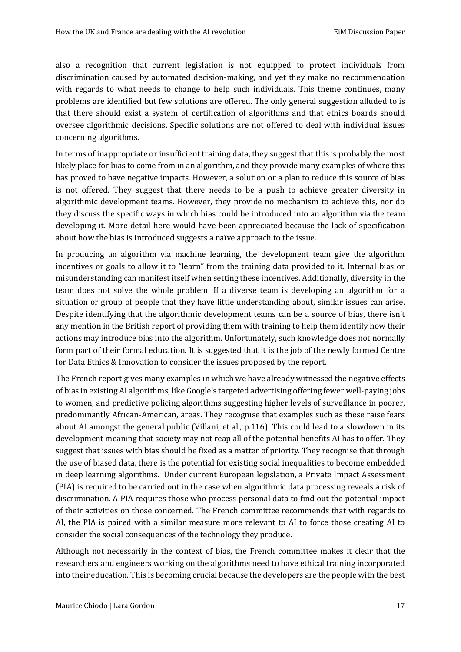also a recognition that current legislation is not equipped to protect individuals from discrimination caused by automated decision-making, and yet they make no recommendation with regards to what needs to change to help such individuals. This theme continues, many problems are identified but few solutions are offered. The only general suggestion alluded to is that there should exist a system of certification of algorithms and that ethics boards should oversee algorithmic decisions. Specific solutions are not offered to deal with individual issues concerning algorithms.

In terms of inappropriate or insufficient training data, they suggest that this is probably the most likely place for bias to come from in an algorithm, and they provide many examples of where this has proved to have negative impacts. However, a solution or a plan to reduce this source of bias is not offered. They suggest that there needs to be a push to achieve greater diversity in algorithmic development teams. However, they provide no mechanism to achieve this, nor do they discuss the specific ways in which bias could be introduced into an algorithm via the team developing it. More detail here would have been appreciated because the lack of specification about how the bias is introduced suggests a naïve approach to the issue.

In producing an algorithm via machine learning, the development team give the algorithm incentives or goals to allow it to "learn" from the training data provided to it. Internal bias or misunderstanding can manifest itself when setting these incentives. Additionally, diversity in the team does not solve the whole problem. If a diverse team is developing an algorithm for a situation or group of people that they have little understanding about, similar issues can arise. Despite identifying that the algorithmic development teams can be a source of bias, there isn't any mention in the British report of providing them with training to help them identify how their actions may introduce bias into the algorithm. Unfortunately, such knowledge does not normally form part of their formal education. It is suggested that it is the job of the newly formed Centre for Data Ethics & Innovation to consider the issues proposed by the report.

The French report gives many examples in which we have already witnessed the negative effects of bias in existing AI algorithms, like Google's targeted advertising offering fewer well-paying jobs to women, and predictive policing algorithms suggesting higher levels of surveillance in poorer, predominantly African-American, areas. They recognise that examples such as these raise fears about AI amongst the general public (Villani, et al., p.116). This could lead to a slowdown in its development meaning that society may not reap all of the potential benefits AI has to offer. They suggest that issues with bias should be fixed as a matter of priority. They recognise that through the use of biased data, there is the potential for existing social inequalities to become embedded in deep learning algorithms. Under current European legislation, a Private Impact Assessment (PIA) is required to be carried out in the case when algorithmic data processing reveals a risk of discrimination. A PIA requires those who process personal data to find out the potential impact of their activities on those concerned. The French committee recommends that with regards to AI, the PIA is paired with a similar measure more relevant to AI to force those creating AI to consider the social consequences of the technology they produce.

Although not necessarily in the context of bias, the French committee makes it clear that the researchers and engineers working on the algorithms need to have ethical training incorporated into their education. This is becoming crucial because the developers are the people with the best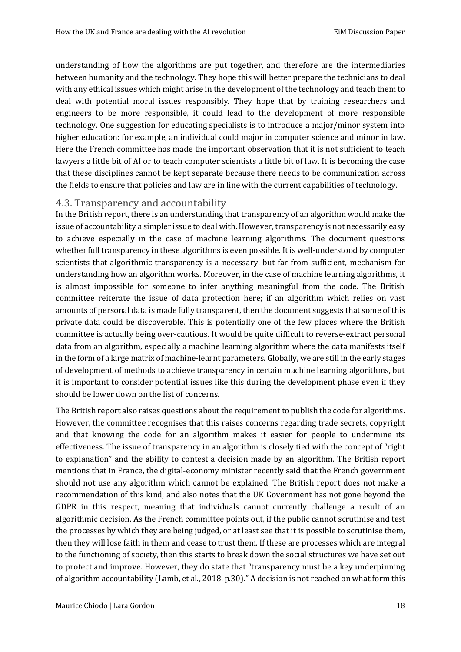understanding of how the algorithms are put together, and therefore are the intermediaries between humanity and the technology. They hope this will better prepare the technicians to deal with any ethical issues which might arise in the development of the technology and teach them to deal with potential moral issues responsibly. They hope that by training researchers and engineers to be more responsible, it could lead to the development of more responsible technology. One suggestion for educating specialists is to introduce a major/minor system into higher education: for example, an individual could major in computer science and minor in law. Here the French committee has made the important observation that it is not sufficient to teach lawyers a little bit of AI or to teach computer scientists a little bit of law. It is becoming the case that these disciplines cannot be kept separate because there needs to be communication across the fields to ensure that policies and law are in line with the current capabilities of technology.

# <span id="page-20-0"></span>4.3. Transparency and accountability

In the British report, there is an understanding that transparency of an algorithm would make the issue of accountability a simpler issue to deal with. However, transparency is not necessarily easy to achieve especially in the case of machine learning algorithms. The document questions whether full transparency in these algorithms is even possible. It is well-understood by computer scientists that algorithmic transparency is a necessary, but far from sufficient, mechanism for understanding how an algorithm works. Moreover, in the case of machine learning algorithms, it is almost impossible for someone to infer anything meaningful from the code. The British committee reiterate the issue of data protection here; if an algorithm which relies on vast amounts of personal data is made fully transparent, then the document suggests that some of this private data could be discoverable. This is potentially one of the few places where the British committee is actually being over-cautious. It would be quite difficult to reverse-extract personal data from an algorithm, especially a machine learning algorithm where the data manifests itself in the form of a large matrix of machine-learnt parameters. Globally, we are still in the early stages of development of methods to achieve transparency in certain machine learning algorithms, but it is important to consider potential issues like this during the development phase even if they should be lower down on the list of concerns.

The British report also raises questions about the requirement to publish the code for algorithms. However, the committee recognises that this raises concerns regarding trade secrets, copyright and that knowing the code for an algorithm makes it easier for people to undermine its effectiveness. The issue of transparency in an algorithm is closely tied with the concept of "right to explanation" and the ability to contest a decision made by an algorithm. The British report mentions that in France, the digital-economy minister recently said that the French government should not use any algorithm which cannot be explained. The British report does not make a recommendation of this kind, and also notes that the UK Government has not gone beyond the GDPR in this respect, meaning that individuals cannot currently challenge a result of an algorithmic decision. As the French committee points out, if the public cannot scrutinise and test the processes by which they are being judged, or at least see that it is possible to scrutinise them, then they will lose faith in them and cease to trust them. If these are processes which are integral to the functioning of society, then this starts to break down the social structures we have set out to protect and improve. However, they do state that "transparency must be a key underpinning of algorithm accountability (Lamb, et al., 2018, p.30)." A decision is not reached on what form this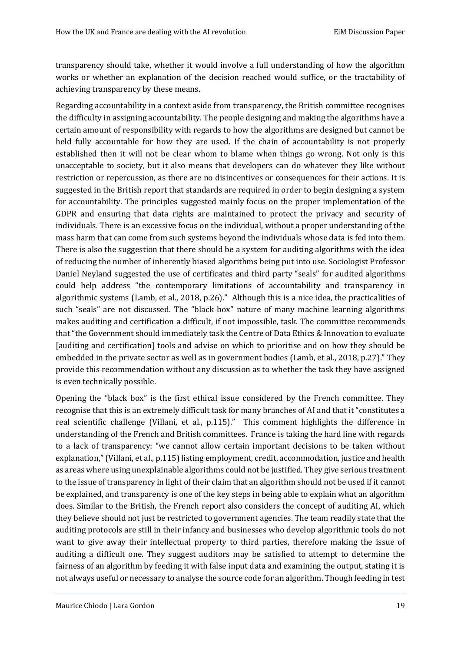transparency should take, whether it would involve a full understanding of how the algorithm works or whether an explanation of the decision reached would suffice, or the tractability of achieving transparency by these means.

Regarding accountability in a context aside from transparency, the British committee recognises the difficulty in assigning accountability. The people designing and making the algorithms have a certain amount of responsibility with regards to how the algorithms are designed but cannot be held fully accountable for how they are used. If the chain of accountability is not properly established then it will not be clear whom to blame when things go wrong. Not only is this unacceptable to society, but it also means that developers can do whatever they like without restriction or repercussion, as there are no disincentives or consequences for their actions. It is suggested in the British report that standards are required in order to begin designing a system for accountability. The principles suggested mainly focus on the proper implementation of the GDPR and ensuring that data rights are maintained to protect the privacy and security of individuals. There is an excessive focus on the individual, without a proper understanding of the mass harm that can come from such systems beyond the individuals whose data is fed into them. There is also the suggestion that there should be a system for auditing algorithms with the idea of reducing the number of inherently biased algorithms being put into use. Sociologist Professor Daniel Neyland suggested the use of certificates and third party "seals" for audited algorithms could help address "the contemporary limitations of accountability and transparency in algorithmic systems (Lamb, et al., 2018, p.26)." Although this is a nice idea, the practicalities of such "seals" are not discussed. The "black box" nature of many machine learning algorithms makes auditing and certification a difficult, if not impossible, task. The committee recommends that "the Government should immediately task the Centre of Data Ethics & Innovation to evaluate [auditing and certification] tools and advise on which to prioritise and on how they should be embedded in the private sector as well as in government bodies (Lamb, et al., 2018, p.27)." They provide this recommendation without any discussion as to whether the task they have assigned is even technically possible.

Opening the "black box" is the first ethical issue considered by the French committee. They recognise that this is an extremely difficult task for many branches of AI and that it "constitutes a real scientific challenge (Villani, et al., p.115)." This comment highlights the difference in understanding of the French and British committees. France is taking the hard line with regards to a lack of transparency: "we cannot allow certain important decisions to be taken without explanation," (Villani, et al., p.115) listing employment, credit, accommodation, justice and health as areas where using unexplainable algorithms could not be justified. They give serious treatment to the issue of transparency in light of their claim that an algorithm should not be used if it cannot be explained, and transparency is one of the key steps in being able to explain what an algorithm does. Similar to the British, the French report also considers the concept of auditing AI, which they believe should not just be restricted to government agencies. The team readily state that the auditing protocols are still in their infancy and businesses who develop algorithmic tools do not want to give away their intellectual property to third parties, therefore making the issue of auditing a difficult one. They suggest auditors may be satisfied to attempt to determine the fairness of an algorithm by feeding it with false input data and examining the output, stating it is not always useful or necessary to analyse the source code for an algorithm. Though feeding in test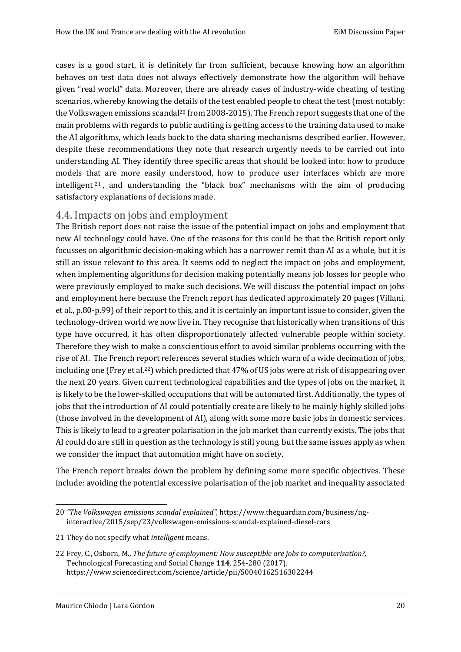cases is a good start, it is definitely far from sufficient, because knowing how an algorithm behaves on test data does not always effectively demonstrate how the algorithm will behave given "real world" data. Moreover, there are already cases of industry-wide cheating of testing scenarios, whereby knowing the details of the test enabled people to cheat the test (most notably: the Volkswagen emissions scandal<sup>20</sup> from 2008-2015). The French report suggests that one of the main problems with regards to public auditing is getting access to the training data used to make the AI algorithms, which leads back to the data sharing mechanisms described earlier. However, despite these recommendations they note that research urgently needs to be carried out into understanding AI. They identify three specific areas that should be looked into: how to produce models that are more easily understood, how to produce user interfaces which are more intelligent <sup>21</sup> , and understanding the "black box" mechanisms with the aim of producing satisfactory explanations of decisions made.

#### <span id="page-22-0"></span>4.4. Impacts on jobs and employment

The British report does not raise the issue of the potential impact on jobs and employment that new AI technology could have. One of the reasons for this could be that the British report only focusses on algorithmic decision-making which has a narrower remit than AI as a whole, but it is still an issue relevant to this area. It seems odd to neglect the impact on jobs and employment, when implementing algorithms for decision making potentially means job losses for people who were previously employed to make such decisions. We will discuss the potential impact on jobs and employment here because the French report has dedicated approximately 20 pages (Villani, et al., p.80-p.99) of their report to this, and it is certainly an important issue to consider, given the technology-driven world we now live in. They recognise that historically when transitions of this type have occurred, it has often disproportionately affected vulnerable people within society. Therefore they wish to make a conscientious effort to avoid similar problems occurring with the rise of AI. The French report references several studies which warn of a wide decimation of jobs, including one (Frey et al.<sup>22</sup>) which predicted that 47% of US jobs were at risk of disappearing over the next 20 years. Given current technological capabilities and the types of jobs on the market, it is likely to be the lower-skilled occupations that will be automated first. Additionally, the types of jobs that the introduction of AI could potentially create are likely to be mainly highly skilled jobs (those involved in the development of AI), along with some more basic jobs in domestic services. This is likely to lead to a greater polarisation in the job market than currently exists. The jobs that AI could do are still in question as the technology is still young, but the same issues apply as when we consider the impact that automation might have on society.

The French report breaks down the problem by defining some more specific objectives. These include: avoiding the potential excessive polarisation of the job market and inequality associated

<sup>20</sup> *"The Volkswagen emissions scandal explained",* https://www.theguardian.com/business/nginteractive/2015/sep/23/volkswagen-emissions-scandal-explained-diesel-cars

<sup>21</sup> They do not specify what *intelligent* means.

<sup>22</sup> Frey, C., Osborn, M., *The future of employment: How susceptible are jobs to computerisation?,* Technological Forecasting and Social Change **114**, 254-280 (2017). https://www.sciencedirect.com/science/article/pii/S0040162516302244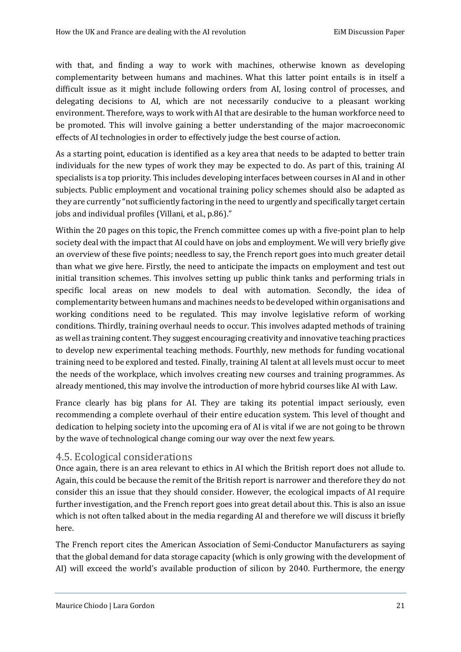with that, and finding a way to work with machines, otherwise known as developing complementarity between humans and machines. What this latter point entails is in itself a difficult issue as it might include following orders from AI, losing control of processes, and delegating decisions to AI, which are not necessarily conducive to a pleasant working environment. Therefore, ways to work with AI that are desirable to the human workforce need to be promoted. This will involve gaining a better understanding of the major macroeconomic effects of AI technologies in order to effectively judge the best course of action.

As a starting point, education is identified as a key area that needs to be adapted to better train individuals for the new types of work they may be expected to do. As part of this, training AI specialists is a top priority. This includes developing interfaces between courses in AI and in other subjects. Public employment and vocational training policy schemes should also be adapted as they are currently "not sufficiently factoring in the need to urgently and specifically target certain jobs and individual profiles (Villani, et al., p.86)."

Within the 20 pages on this topic, the French committee comes up with a five-point plan to help society deal with the impact that AI could have on jobs and employment. We will very briefly give an overview of these five points; needless to say, the French report goes into much greater detail than what we give here. Firstly, the need to anticipate the impacts on employment and test out initial transition schemes. This involves setting up public think tanks and performing trials in specific local areas on new models to deal with automation. Secondly, the idea of complementarity between humans and machines needs to be developed within organisations and working conditions need to be regulated. This may involve legislative reform of working conditions. Thirdly, training overhaul needs to occur. This involves adapted methods of training as well as training content. They suggest encouraging creativity and innovative teaching practices to develop new experimental teaching methods. Fourthly, new methods for funding vocational training need to be explored and tested. Finally, training AI talent at all levels must occur to meet the needs of the workplace, which involves creating new courses and training programmes. As already mentioned, this may involve the introduction of more hybrid courses like AI with Law.

France clearly has big plans for AI. They are taking its potential impact seriously, even recommending a complete overhaul of their entire education system. This level of thought and dedication to helping society into the upcoming era of AI is vital if we are not going to be thrown by the wave of technological change coming our way over the next few years.

#### <span id="page-23-0"></span>4.5. Ecological considerations

Once again, there is an area relevant to ethics in AI which the British report does not allude to. Again, this could be because the remit of the British report is narrower and therefore they do not consider this an issue that they should consider. However, the ecological impacts of AI require further investigation, and the French report goes into great detail about this. This is also an issue which is not often talked about in the media regarding AI and therefore we will discuss it briefly here.

The French report cites the American Association of Semi-Conductor Manufacturers as saying that the global demand for data storage capacity (which is only growing with the development of AI) will exceed the world's available production of silicon by 2040. Furthermore, the energy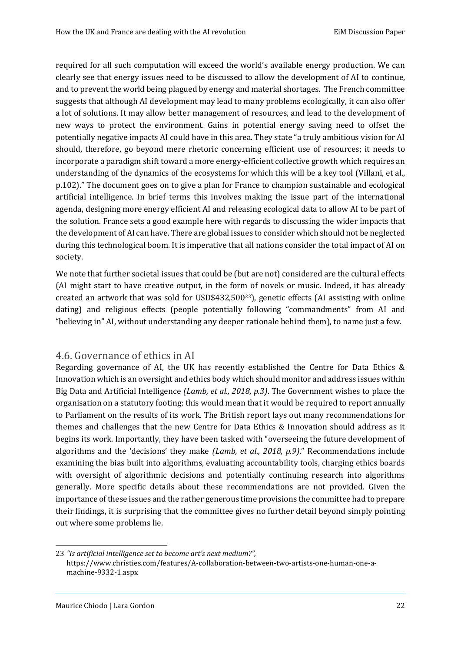required for all such computation will exceed the world's available energy production. We can clearly see that energy issues need to be discussed to allow the development of AI to continue, and to prevent the world being plagued by energy and material shortages. The French committee suggests that although AI development may lead to many problems ecologically, it can also offer a lot of solutions. It may allow better management of resources, and lead to the development of new ways to protect the environment. Gains in potential energy saving need to offset the potentially negative impacts AI could have in this area. They state "a truly ambitious vision for AI should, therefore, go beyond mere rhetoric concerning efficient use of resources; it needs to incorporate a paradigm shift toward a more energy-efficient collective growth which requires an understanding of the dynamics of the ecosystems for which this will be a key tool (Villani, et al., p.102)." The document goes on to give a plan for France to champion sustainable and ecological artificial intelligence. In brief terms this involves making the issue part of the international agenda, designing more energy efficient AI and releasing ecological data to allow AI to be part of the solution. France sets a good example here with regards to discussing the wider impacts that the development of AI can have. There are global issues to consider which should not be neglected during this technological boom. It is imperative that all nations consider the total impact of AI on society.

We note that further societal issues that could be (but are not) considered are the cultural effects (AI might start to have creative output, in the form of novels or music. Indeed, it has already created an artwork that was sold for USD\$432,50023), genetic effects (AI assisting with online dating) and religious effects (people potentially following "commandments" from AI and "believing in" AI, without understanding any deeper rationale behind them), to name just a few.

# <span id="page-24-0"></span>4.6. Governance of ethics in AI

Regarding governance of AI, the UK has recently established the Centre for Data Ethics & Innovation which is an oversight and ethics body which should monitor and address issues within Big Data and Artificial Intelligence *(Lamb, et al., 2018, p.3)*. The Government wishes to place the organisation on a statutory footing; this would mean that it would be required to report annually to Parliament on the results of its work. The British report lays out many recommendations for themes and challenges that the new Centre for Data Ethics & Innovation should address as it begins its work. Importantly, they have been tasked with "overseeing the future development of algorithms and the 'decisions' they make *(Lamb, et al., 2018, p.9)*." Recommendations include examining the bias built into algorithms, evaluating accountability tools, charging ethics boards with oversight of algorithmic decisions and potentially continuing research into algorithms generally. More specific details about these recommendations are not provided. Given the importance of these issues and the rather generous time provisions the committee had to prepare their findings, it is surprising that the committee gives no further detail beyond simply pointing out where some problems lie.

<sup>23</sup> *"Is artificial intelligence set to become art's next medium?",* https://www.christies.com/features/A-collaboration-between-two-artists-one-human-one-amachine-9332-1.aspx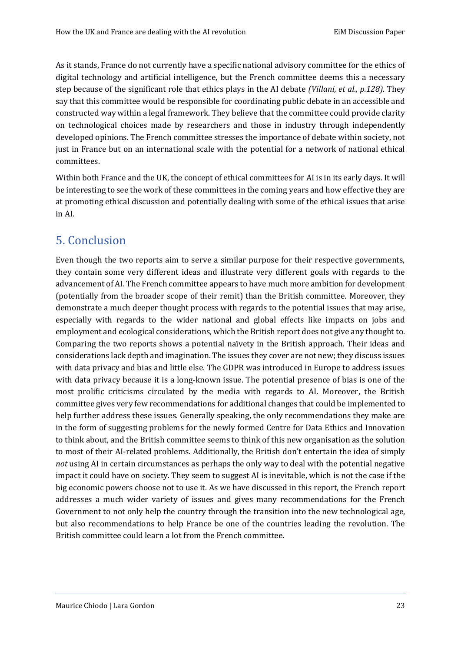As it stands, France do not currently have a specific national advisory committee for the ethics of digital technology and artificial intelligence, but the French committee deems this a necessary step because of the significant role that ethics plays in the AI debate *(Villani, et al., p.128)*. They say that this committee would be responsible for coordinating public debate in an accessible and constructed way within a legal framework. They believe that the committee could provide clarity on technological choices made by researchers and those in industry through independently developed opinions. The French committee stresses the importance of debate within society, not just in France but on an international scale with the potential for a network of national ethical committees.

Within both France and the UK, the concept of ethical committees for AI is in its early days. It will be interesting to see the work of these committees in the coming years and how effective they are at promoting ethical discussion and potentially dealing with some of the ethical issues that arise in AI.

# <span id="page-25-0"></span>5. Conclusion

Even though the two reports aim to serve a similar purpose for their respective governments, they contain some very different ideas and illustrate very different goals with regards to the advancement of AI. The French committee appears to have much more ambition for development (potentially from the broader scope of their remit) than the British committee. Moreover, they demonstrate a much deeper thought process with regards to the potential issues that may arise, especially with regards to the wider national and global effects like impacts on jobs and employment and ecological considerations, which the British report does not give any thought to. Comparing the two reports shows a potential naïvety in the British approach. Their ideas and considerations lack depth and imagination. The issues they cover are not new; they discuss issues with data privacy and bias and little else. The GDPR was introduced in Europe to address issues with data privacy because it is a long-known issue. The potential presence of bias is one of the most prolific criticisms circulated by the media with regards to AI. Moreover, the British committee gives very few recommendations for additional changes that could be implemented to help further address these issues. Generally speaking, the only recommendations they make are in the form of suggesting problems for the newly formed Centre for Data Ethics and Innovation to think about, and the British committee seems to think of this new organisation as the solution to most of their AI-related problems. Additionally, the British don't entertain the idea of simply *not* using AI in certain circumstances as perhaps the only way to deal with the potential negative impact it could have on society. They seem to suggest AI is inevitable, which is not the case if the big economic powers choose not to use it. As we have discussed in this report, the French report addresses a much wider variety of issues and gives many recommendations for the French Government to not only help the country through the transition into the new technological age, but also recommendations to help France be one of the countries leading the revolution. The British committee could learn a lot from the French committee.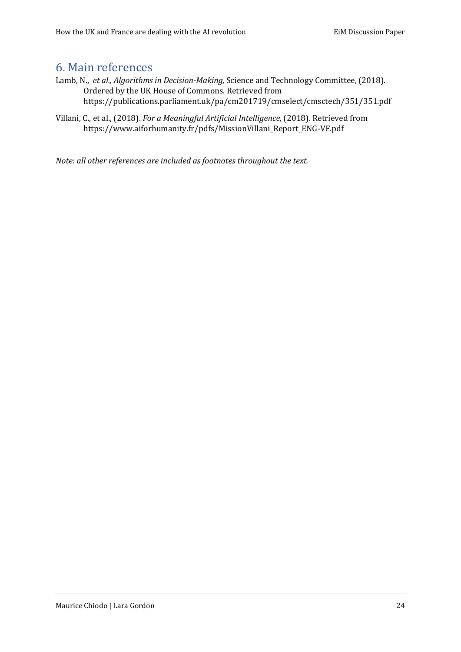# <span id="page-26-0"></span>6. Main references

- Lamb, N., *et al., Algorithms in Decision-Making,* Science and Technology Committee, (2018). Ordered by the UK House of Commons. Retrieved from https://publications.parliament.uk/pa/cm201719/cmselect/cmsctech/351/351.pdf
- Villani, C., et al., (2018). *For a Meaningful Artificial Intelligence,* (2018). Retrieved from https://www.aiforhumanity.fr/pdfs/MissionVillani\_Report\_ENG-VF.pdf

*Note: all other references are included as footnotes throughout the text.*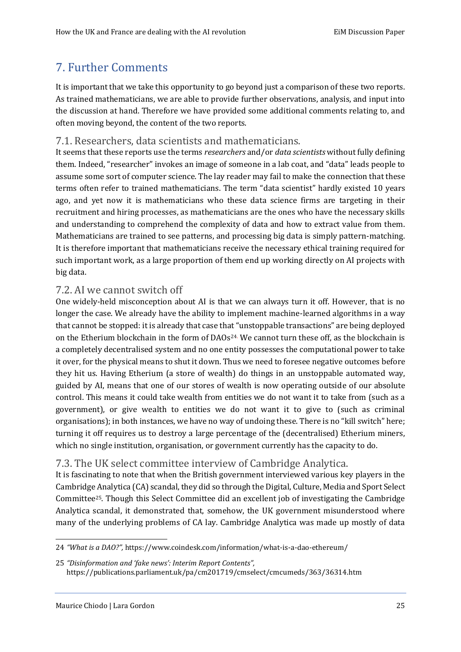# <span id="page-27-0"></span>7. Further Comments

It is important that we take this opportunity to go beyond just a comparison of these two reports. As trained mathematicians, we are able to provide further observations, analysis, and input into the discussion at hand. Therefore we have provided some additional comments relating to, and often moving beyond, the content of the two reports.

## <span id="page-27-1"></span>7.1. Researchers, data scientists and mathematicians.

It seems that these reports use the terms *researchers* and/or *data scientists* without fully defining them. Indeed, "researcher" invokes an image of someone in a lab coat, and "data" leads people to assume some sort of computer science. The lay reader may fail to make the connection that these terms often refer to trained mathematicians. The term "data scientist" hardly existed 10 years ago, and yet now it is mathematicians who these data science firms are targeting in their recruitment and hiring processes, as mathematicians are the ones who have the necessary skills and understanding to comprehend the complexity of data and how to extract value from them. Mathematicians are trained to see patterns, and processing big data is simply pattern-matching. It is therefore important that mathematicians receive the necessary ethical training required for such important work, as a large proportion of them end up working directly on AI projects with big data.

## <span id="page-27-2"></span>7.2. AI we cannot switch off

One widely-held misconception about AI is that we can always turn it off. However, that is no longer the case. We already have the ability to implement machine-learned algorithms in a way that cannot be stopped: it is already that case that "unstoppable transactions" are being deployed on the Etherium blockchain in the form of DAOs24. We cannot turn these off, as the blockchain is a completely decentralised system and no one entity possesses the computational power to take it over, for the physical means to shut it down. Thus we need to foresee negative outcomes before they hit us. Having Etherium (a store of wealth) do things in an unstoppable automated way, guided by AI, means that one of our stores of wealth is now operating outside of our absolute control. This means it could take wealth from entities we do not want it to take from (such as a government), or give wealth to entities we do not want it to give to (such as criminal organisations); in both instances, we have no way of undoing these. There is no "kill switch" here; turning it off requires us to destroy a large percentage of the (decentralised) Etherium miners, which no single institution, organisation, or government currently has the capacity to do.

# <span id="page-27-3"></span>7.3. The UK select committee interview of Cambridge Analytica.

It is fascinating to note that when the British government interviewed various key players in the Cambridge Analytica (CA) scandal, they did so through the Digital, Culture, Media and Sport Select Committee25. Though this Select Committee did an excellent job of investigating the Cambridge Analytica scandal, it demonstrated that, somehow, the UK government misunderstood where many of the underlying problems of CA lay. Cambridge Analytica was made up mostly of data

<sup>24</sup> *"What is a DAO?",* https://www.coindesk.com/information/what-is-a-dao-ethereum/

<sup>25</sup> *"Disinformation and 'fake news': Interim Report Contents",* https://publications.parliament.uk/pa/cm201719/cmselect/cmcumeds/363/36314.htm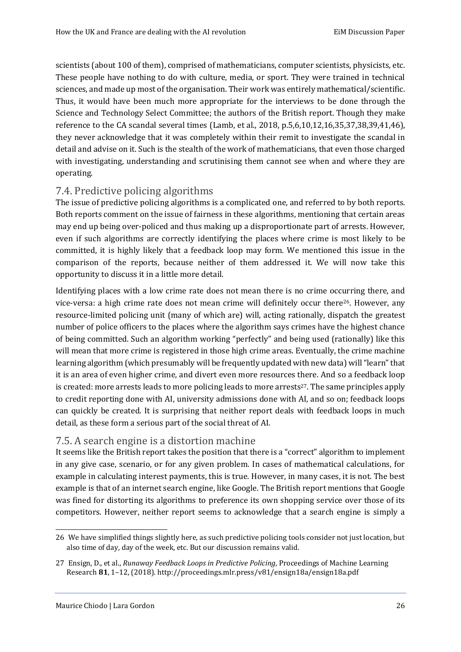scientists (about 100 of them), comprised of mathematicians, computer scientists, physicists, etc. These people have nothing to do with culture, media, or sport. They were trained in technical sciences, and made up most of the organisation. Their work was entirely mathematical/scientific. Thus, it would have been much more appropriate for the interviews to be done through the Science and Technology Select Committee; the authors of the British report. Though they make reference to the CA scandal several times (Lamb, et al., 2018, p.5,6,10,12,16,35,37,38,39,41,46), they never acknowledge that it was completely within their remit to investigate the scandal in detail and advise on it. Such is the stealth of the work of mathematicians, that even those charged with investigating, understanding and scrutinising them cannot see when and where they are operating.

# <span id="page-28-0"></span>7.4. Predictive policing algorithms

The issue of predictive policing algorithms is a complicated one, and referred to by both reports. Both reports comment on the issue of fairness in these algorithms, mentioning that certain areas may end up being over-policed and thus making up a disproportionate part of arrests. However, even if such algorithms are correctly identifying the places where crime is most likely to be committed, it is highly likely that a feedback loop may form. We mentioned this issue in the comparison of the reports, because neither of them addressed it. We will now take this opportunity to discuss it in a little more detail.

Identifying places with a low crime rate does not mean there is no crime occurring there, and vice-versa: a high crime rate does not mean crime will definitely occur there<sup>26</sup>. However, any resource-limited policing unit (many of which are) will, acting rationally, dispatch the greatest number of police officers to the places where the algorithm says crimes have the highest chance of being committed. Such an algorithm working "perfectly" and being used (rationally) like this will mean that more crime is registered in those high crime areas. Eventually, the crime machine learning algorithm (which presumably will be frequently updated with new data) will "learn" that it is an area of even higher crime, and divert even more resources there. And so a feedback loop is created: more arrests leads to more policing leads to more arrests<sup>27</sup>. The same principles apply to credit reporting done with AI, university admissions done with AI, and so on; feedback loops can quickly be created. It is surprising that neither report deals with feedback loops in much detail, as these form a serious part of the social threat of AI.

# <span id="page-28-1"></span>7.5. A search engine is a distortion machine

It seems like the British report takes the position that there is a "correct" algorithm to implement in any give case, scenario, or for any given problem. In cases of mathematical calculations, for example in calculating interest payments, this is true. However, in many cases, it is not. The best example is that of an internet search engine, like Google. The British report mentions that Google was fined for distorting its algorithms to preference its own shopping service over those of its competitors. However, neither report seems to acknowledge that a search engine is simply a

<sup>26</sup> We have simplified things slightly here, as such predictive policing tools consider not just location, but also time of day, day of the week, etc. But our discussion remains valid.

<sup>27</sup> Ensign, D., et al., *Runaway Feedback Loops in Predictive Policing*, Proceedings of Machine Learning Research **81**, 1–12, (2018). http://proceedings.mlr.press/v81/ensign18a/ensign18a.pdf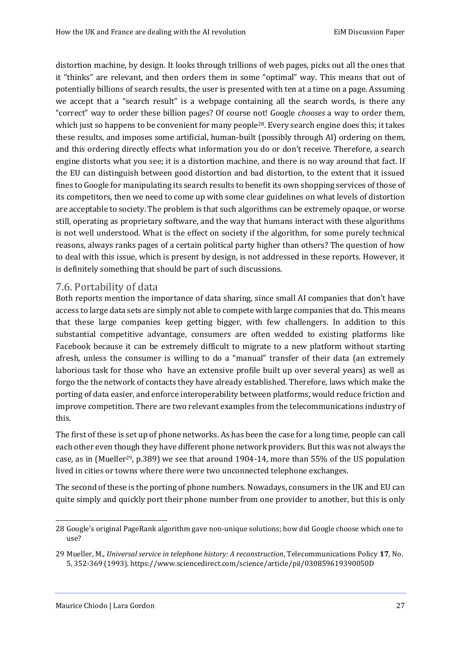distortion machine, by design. It looks through trillions of web pages, picks out all the ones that it "thinks" are relevant, and then orders them in some "optimal" way. This means that out of potentially billions of search results, the user is presented with ten at a time on a page. Assuming we accept that a "search result" is a webpage containing all the search words, is there any "correct" way to order these billion pages? Of course not! Google *chooses* a way to order them, which just so happens to be convenient for many people<sup>28</sup>. Every search engine does this; it takes these results, and imposes some artificial, human-built (possibly through AI) ordering on them, and this ordering directly effects what information you do or don't receive. Therefore, a search engine distorts what you see; it is a distortion machine, and there is no way around that fact. If the EU can distinguish between good distortion and bad distortion, to the extent that it issued fines to Google for manipulating its search results to benefit its own shopping services of those of its competitors, then we need to come up with some clear guidelines on what levels of distortion are acceptable to society. The problem is that such algorithms can be extremely opaque, or worse still, operating as proprietary software, and the way that humans interact with these algorithms is not well understood. What is the effect on society if the algorithm, for some purely technical reasons, always ranks pages of a certain political party higher than others? The question of how to deal with this issue, which is present by design, is not addressed in these reports. However, it is definitely something that should be part of such discussions.

## <span id="page-29-0"></span>7.6. Portability of data

Both reports mention the importance of data sharing, since small AI companies that don't have access to large data sets are simply not able to compete with large companies that do. This means that these large companies keep getting bigger, with few challengers. In addition to this substantial competitive advantage, consumers are often wedded to existing platforms like Facebook because it can be extremely difficult to migrate to a new platform without starting afresh, unless the consumer is willing to do a "manual" transfer of their data (an extremely laborious task for those who have an extensive profile built up over several years) as well as forgo the the network of contacts they have already established. Therefore, laws which make the porting of data easier, and enforce interoperability between platforms, would reduce friction and improve competition. There are two relevant examples from the telecommunications industry of this.

The first of these is set up of phone networks. As has been the case for a long time, people can call each other even though they have different phone network providers. But this was not always the case, as in (Mueller29, p.389) we see that around 1904-14, more than 55% of the US population lived in cities or towns where there were two unconnected telephone exchanges.

The second of these is the porting of phone numbers. Nowadays, consumers in the UK and EU can quite simply and quickly port their phone number from one provider to another, but this is only

<sup>28</sup> Google's original PageRank algorithm gave non-unique solutions; how did Google choose which one to use?

<sup>29</sup> Mueller, M., *Universal service in telephone history: A reconstruction*, Telecommunications Policy **17**, No. 5, 352-369 (1993). https://www.sciencedirect.com/science/article/pii/030859619390050D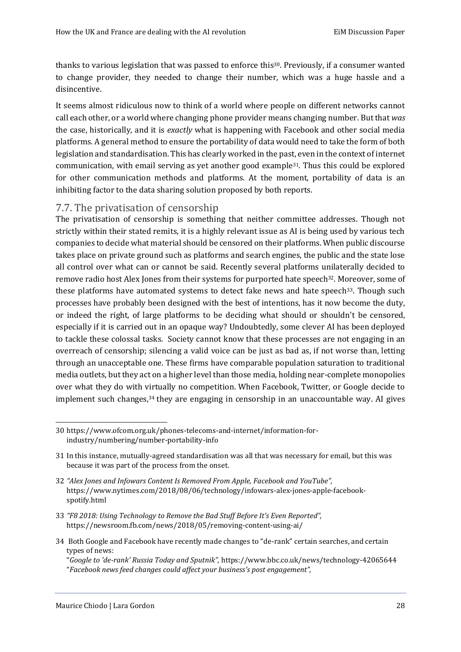thanks to various legislation that was passed to enforce this30. Previously, if a consumer wanted to change provider, they needed to change their number, which was a huge hassle and a disincentive.

It seems almost ridiculous now to think of a world where people on different networks cannot call each other, or a world where changing phone provider means changing number. But that *was* the case, historically, and it is *exactly* what is happening with Facebook and other social media platforms. A general method to ensure the portability of data would need to take the form of both legislation and standardisation. This has clearly worked in the past, even in the context of internet communication, with email serving as yet another good example31. Thus this could be explored for other communication methods and platforms. At the moment, portability of data is an inhibiting factor to the data sharing solution proposed by both reports.

## <span id="page-30-0"></span>7.7. The privatisation of censorship

The privatisation of censorship is something that neither committee addresses. Though not strictly within their stated remits, it is a highly relevant issue as AI is being used by various tech companies to decide what material should be censored on their platforms. When public discourse takes place on private ground such as platforms and search engines, the public and the state lose all control over what can or cannot be said. Recently several platforms unilaterally decided to remove radio host Alex Jones from their systems for purported hate speech32. Moreover, some of these platforms have automated systems to detect fake news and hate speech<sup>33</sup>. Though such processes have probably been designed with the best of intentions, has it now become the duty, or indeed the right, of large platforms to be deciding what should or shouldn't be censored, especially if it is carried out in an opaque way? Undoubtedly, some clever AI has been deployed to tackle these colossal tasks. Society cannot know that these processes are not engaging in an overreach of censorship; silencing a valid voice can be just as bad as, if not worse than, letting through an unacceptable one. These firms have comparable population saturation to traditional media outlets, but they act on a higher level than those media, holding near-complete monopolies over what they do with virtually no competition. When Facebook, Twitter, or Google decide to implement such changes,<sup>34</sup> they are engaging in censorship in an unaccountable way. AI gives

34 Both Google and Facebook have recently made changes to "de-rank" certain searches, and certain types of news:

<sup>30</sup> https://www.ofcom.org.uk/phones-telecoms-and-internet/information-forindustry/numbering/number-portability-info

<sup>31</sup> In this instance, mutually-agreed standardisation was all that was necessary for email, but this was because it was part of the process from the onset.

<sup>32</sup> *"Alex Jones and Infowars Content Is Removed From Apple, Facebook and YouTube",*  https://www.nytimes.com/2018/08/06/technology/infowars-alex-jones-apple-facebookspotify.html

<sup>33</sup> *"F8 2018: Using Technology to Remove the Bad Stuff Before It's Even Reported",* https://newsroom.fb.com/news/2018/05/removing-content-using-ai/

<sup>&</sup>quot;*Google to 'de-rank' Russia Today and Sputnik",* https://www.bbc.co.uk/news/technology-42065644 "*Facebook news feed changes could affect your business's post engagement",*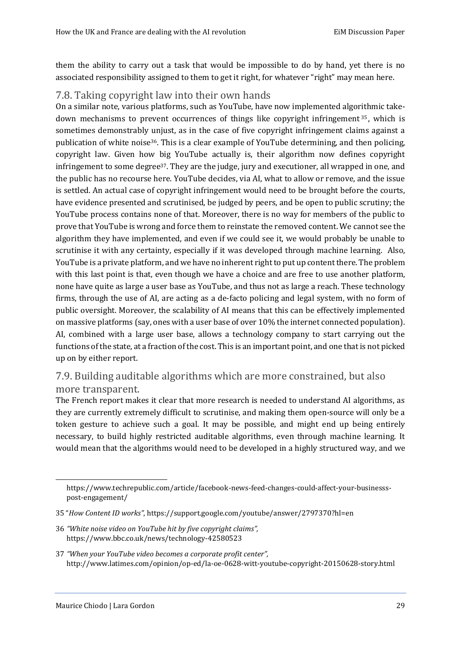them the ability to carry out a task that would be impossible to do by hand, yet there is no associated responsibility assigned to them to get it right, for whatever "right" may mean here.

# <span id="page-31-0"></span>7.8. Taking copyright law into their own hands

On a similar note, various platforms, such as YouTube, have now implemented algorithmic takedown mechanisms to prevent occurrences of things like copyright infringement <sup>35</sup> , which is sometimes demonstrably unjust, as in the case of five copyright infringement claims against a publication of white noise36. This is a clear example of YouTube determining, and then policing, copyright law. Given how big YouTube actually is, their algorithm now defines copyright infringement to some degree37. They are the judge, jury and executioner, all wrapped in one, and the public has no recourse here. YouTube decides, via AI, what to allow or remove, and the issue is settled. An actual case of copyright infringement would need to be brought before the courts, have evidence presented and scrutinised, be judged by peers, and be open to public scrutiny; the YouTube process contains none of that. Moreover, there is no way for members of the public to prove that YouTube is wrong and force them to reinstate the removed content. We cannot see the algorithm they have implemented, and even if we could see it, we would probably be unable to scrutinise it with any certainty, especially if it was developed through machine learning. Also, YouTube is a private platform, and we have no inherent right to put up content there. The problem with this last point is that, even though we have a choice and are free to use another platform, none have quite as large a user base as YouTube, and thus not as large a reach. These technology firms, through the use of AI, are acting as a de-facto policing and legal system, with no form of public oversight. Moreover, the scalability of AI means that this can be effectively implemented on massive platforms (say, ones with a user base of over 10% the internet connected population). AI, combined with a large user base, allows a technology company to start carrying out the functions of the state, at a fraction of the cost. This is an important point, and one that is not picked up on by either report.

# <span id="page-31-1"></span>7.9. Building auditable algorithms which are more constrained, but also more transparent.

The French report makes it clear that more research is needed to understand AI algorithms, as they are currently extremely difficult to scrutinise, and making them open-source will only be a token gesture to achieve such a goal. It may be possible, and might end up being entirely necessary, to build highly restricted auditable algorithms, even through machine learning. It would mean that the algorithms would need to be developed in a highly structured way, and we

https://www.techrepublic.com/article/facebook-news-feed-changes-could-affect-your-businessspost-engagement/

<sup>35</sup> "*How Content ID works"*, https://support.google.com/youtube/answer/2797370?hl=en

<sup>36</sup> *"White noise video on YouTube hit by five copyright claims",* https://www.bbc.co.uk/news/technology-42580523

<sup>37</sup> *"When your YouTube video becomes a corporate profit center",* http://www.latimes.com/opinion/op-ed/la-oe-0628-witt-youtube-copyright-20150628-story.html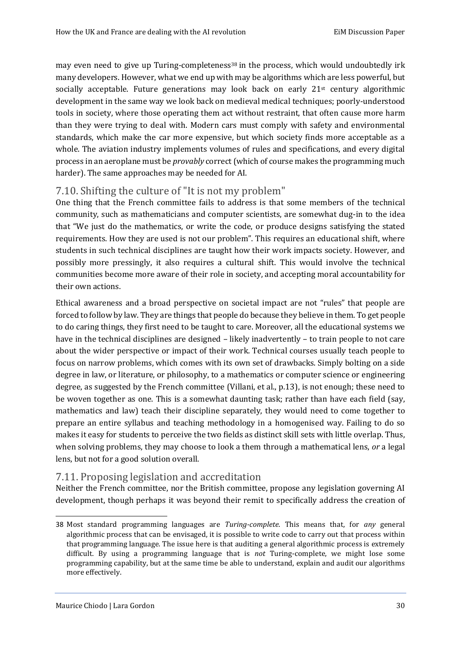may even need to give up Turing-completeness<sup>38</sup> in the process, which would undoubtedly irk many developers. However, what we end up with may be algorithms which are less powerful, but socially acceptable. Future generations may look back on early  $21<sup>st</sup>$  century algorithmic development in the same way we look back on medieval medical techniques; poorly-understood tools in society, where those operating them act without restraint, that often cause more harm than they were trying to deal with. Modern cars must comply with safety and environmental standards, which make the car more expensive, but which society finds more acceptable as a whole. The aviation industry implements volumes of rules and specifications, and every digital process in an aeroplane must be *provably* correct (which of course makes the programming much harder). The same approaches may be needed for AI.

# <span id="page-32-0"></span>7.10. Shifting the culture of "It is not my problem"

One thing that the French committee fails to address is that some members of the technical community, such as mathematicians and computer scientists, are somewhat dug-in to the idea that "We just do the mathematics, or write the code, or produce designs satisfying the stated requirements. How they are used is not our problem". This requires an educational shift, where students in such technical disciplines are taught how their work impacts society. However, and possibly more pressingly, it also requires a cultural shift. This would involve the technical communities become more aware of their role in society, and accepting moral accountability for their own actions.

Ethical awareness and a broad perspective on societal impact are not "rules" that people are forced to follow by law. They are things that people do because they believe in them. To get people to do caring things, they first need to be taught to care. Moreover, all the educational systems we have in the technical disciplines are designed – likely inadvertently – to train people to not care about the wider perspective or impact of their work. Technical courses usually teach people to focus on narrow problems, which comes with its own set of drawbacks. Simply bolting on a side degree in law, or literature, or philosophy, to a mathematics or computer science or engineering degree, as suggested by the French committee (Villani, et al., p.13), is not enough; these need to be woven together as one. This is a somewhat daunting task; rather than have each field (say, mathematics and law) teach their discipline separately, they would need to come together to prepare an entire syllabus and teaching methodology in a homogenised way. Failing to do so makes it easy for students to perceive the two fields as distinct skill sets with little overlap. Thus, when solving problems, they may choose to look a them through a mathematical lens, *or* a legal lens, but not for a good solution overall.

# <span id="page-32-1"></span>7.11. Proposing legislation and accreditation

Neither the French committee, nor the British committee, propose any legislation governing AI development, though perhaps it was beyond their remit to specifically address the creation of

<sup>38</sup> Most standard programming languages are *Turing-complete*. This means that, for *any* general algorithmic process that can be envisaged, it is possible to write code to carry out that process within that programming language. The issue here is that auditing a general algorithmic process is extremely difficult. By using a programming language that is *not* Turing-complete, we might lose some programming capability, but at the same time be able to understand, explain and audit our algorithms more effectively.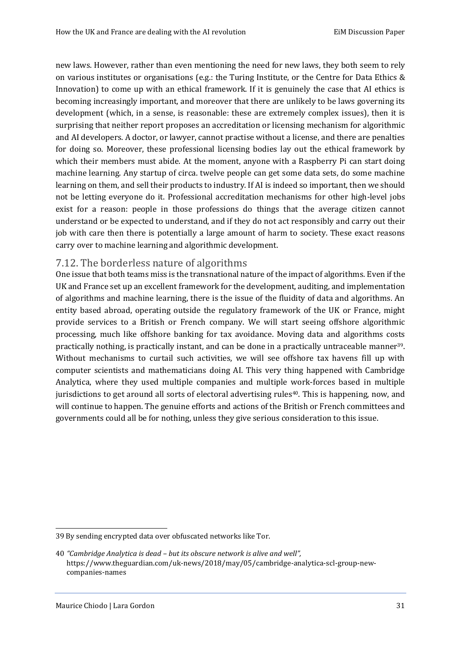new laws. However, rather than even mentioning the need for new laws, they both seem to rely on various institutes or organisations (e.g.: the Turing Institute, or the Centre for Data Ethics & Innovation) to come up with an ethical framework. If it is genuinely the case that AI ethics is becoming increasingly important, and moreover that there are unlikely to be laws governing its development (which, in a sense, is reasonable: these are extremely complex issues), then it is surprising that neither report proposes an accreditation or licensing mechanism for algorithmic and AI developers. A doctor, or lawyer, cannot practise without a license, and there are penalties for doing so. Moreover, these professional licensing bodies lay out the ethical framework by which their members must abide. At the moment, anyone with a Raspberry Pi can start doing machine learning. Any startup of circa. twelve people can get some data sets, do some machine learning on them, and sell their products to industry. If AI is indeed so important, then we should not be letting everyone do it. Professional accreditation mechanisms for other high-level jobs exist for a reason: people in those professions do things that the average citizen cannot understand or be expected to understand, and if they do not act responsibly and carry out their job with care then there is potentially a large amount of harm to society. These exact reasons carry over to machine learning and algorithmic development.

## <span id="page-33-0"></span>7.12. The borderless nature of algorithms

One issue that both teams miss is the transnational nature of the impact of algorithms. Even if the UK and France set up an excellent framework for the development, auditing, and implementation of algorithms and machine learning, there is the issue of the fluidity of data and algorithms. An entity based abroad, operating outside the regulatory framework of the UK or France, might provide services to a British or French company. We will start seeing offshore algorithmic processing, much like offshore banking for tax avoidance. Moving data and algorithms costs practically nothing, is practically instant, and can be done in a practically untraceable manner<sup>39</sup>. Without mechanisms to curtail such activities, we will see offshore tax havens fill up with computer scientists and mathematicians doing AI. This very thing happened with Cambridge Analytica, where they used multiple companies and multiple work-forces based in multiple jurisdictions to get around all sorts of electoral advertising rules<sup>40</sup>. This is happening, now, and will continue to happen. The genuine efforts and actions of the British or French committees and governments could all be for nothing, unless they give serious consideration to this issue.

<sup>39</sup> By sending encrypted data over obfuscated networks like Tor.

<sup>40</sup> *"Cambridge Analytica is dead – but its obscure network is alive and well",*  https://www.theguardian.com/uk-news/2018/may/05/cambridge-analytica-scl-group-newcompanies-names